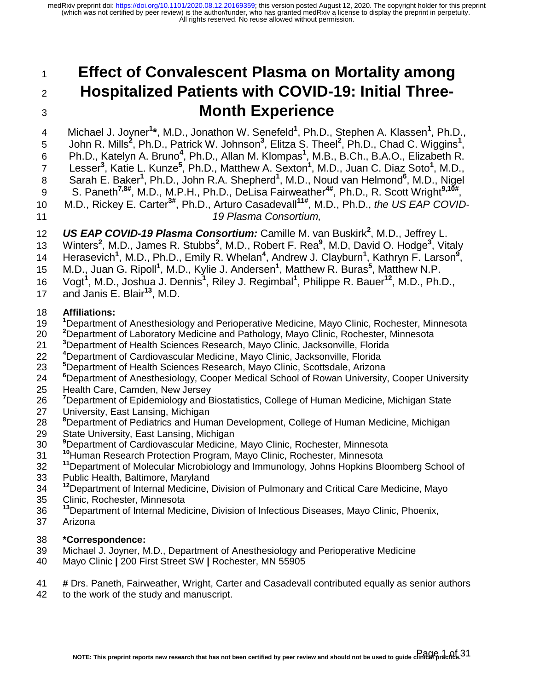# <sup>1</sup>**Effect of Convalescent Plasma on Mortality among**  2 **Hospitalized Patients with COVID-19: Initial Three-**<sup>3</sup>**Month Experience**

4 Michael J. Joyner<sup>1\*</sup>, M.D., Jonathon W. Senefeld<sup>1</sup>, Ph.D., Stephen A. Klassen<sup>1</sup>, Ph.D., 5 John R. Mills<sup>2</sup>, Ph.D., Patrick W. Johnson<sup>3</sup>, Elitza S. Theel<sup>2</sup>, Ph.D., Chad C. Wiggins<sup>1</sup>, 6 Ph.D., Katelyn A. Bruno<sup>4</sup>, Ph.D., Allan M. Klompas<sup>1</sup>, M.B., B.Ch., B.A.O., Elizabeth R. 7 Lesser<sup>3</sup>, Katie L. Kunze<sup>5</sup>, Ph.D., Matthew A. Sexton<sup>1</sup>, M.D., Juan C. Diaz Soto<sup>1</sup>, M.D., 8 Sarah E. Baker<sup>1</sup>, Ph.D., John R.A. Shepherd<sup>1</sup>, M.D., Noud van Helmond<sup>6</sup>, M.D., Nigel 9 S. Paneth<sup>7,8#</sup>, M.D., M.P.H., Ph.D., DeLisa Fairweather<sup>4#</sup>, Ph.D., R. Scott Wright<sup>9,10#</sup>, M.D., Rickey E. Carter<sup>3#</sup>, Ph.D., Arturo Casadevall<sup>11#</sup>, M.D., Ph.D., *the US EAP COVID-*11 *19 Plasma Consortium,* 

- 12 **US EAP COVID-19 Plasma Consortium:** Camille M. van Buskirk<sup>2</sup>, M.D., Jeffrey L.
- 13 Winters<sup>2</sup>, M.D., James R. Stubbs<sup>2</sup>, M.D., Robert F. Rea<sup>9</sup>, M.D, David O. Hodge<sup>3</sup>, Vitaly
- 14 Herasevich<sup>1</sup>, M.D., Ph.D., Emily R. Whelan<sup>4</sup>, Andrew J. Clayburn<sup>1</sup>, Kathryn F. Larson<sup>9</sup>,
- 15 M.D., Juan G. Ripoll<sup>1</sup>, M.D., Kylie J. Andersen<sup>1</sup>, Matthew R. Buras<sup>5</sup>, Matthew N.P.
- 16 Vogt<sup>1</sup>, M.D., Joshua J. Dennis<sup>1</sup>, Riley J. Regimbal<sup>1</sup>, Philippe R. Bauer<sup>12</sup>, M.D., Ph.D.,
- 17 and Janis E. Blair<sup>13</sup>, M.D.

- 18 **Affiliations:**<br>19 <sup>1</sup> Department of Anesthesiology and Perioperative Medicine, Mayo Clinic, Rochester, Minnesota
- **<sup>2</sup>** 20 Department of Laboratory Medicine and Pathology, Mayo Clinic, Rochester, Minnesota
- **<sup>3</sup>** 21 Department of Health Sciences Research, Mayo Clinic, Jacksonville, Florida
- **<sup>4</sup>** 22 Department of Cardiovascular Medicine, Mayo Clinic, Jacksonville, Florida
- **<sup>5</sup>** 23 Department of Health Sciences Research, Mayo Clinic, Scottsdale, Arizona
- **<sup>6</sup>** 24 Department of Anesthesiology, Cooper Medical School of Rowan University, Cooper University
- 25 Health Care, Camden, New Jersey
- <sup>7</sup> Department of Epidemiology and Biostatistics, College of Human Medicine, Michigan State
- 27 University, East Lansing, Michigan
- **<sup>8</sup>** 28 Department of Pediatrics and Human Development, College of Human Medicine, Michigan
- 29 State University, East Lansing, Michigan
- **<sup>9</sup>** 30 Department of Cardiovascular Medicine, Mayo Clinic, Rochester, Minnesota
- **<sup>10</sup>** 31 Human Research Protection Program, Mayo Clinic, Rochester, Minnesota
- 1<sup>1</sup> Department of Molecular Microbiology and Immunology, Johns Hopkins Bloomberg School of
- 33 Public Health, Baltimore, Maryland
- 1<sup>2</sup> Department of Internal Medicine, Division of Pulmonary and Critical Care Medicine, Mayo
- 35 Clinic, Rochester, Minnesota
- 13<sup>0</sup> Department of Internal Medicine, Division of Infectious Diseases, Mayo Clinic, Phoenix,
- 37 Arizona

# 38 **\*Correspondence:**

- 39 Michael J. Joyner, M.D., Department of Anesthesiology and Perioperative Medicine
- 40 Mayo Clinic **|** 200 First Street SW **|** Rochester, MN 55905
- 41 **#** Drs. Paneth, Fairweather, Wright, Carter and Casadevall contributed equally as senior authors
- 42 to the work of the study and manuscript.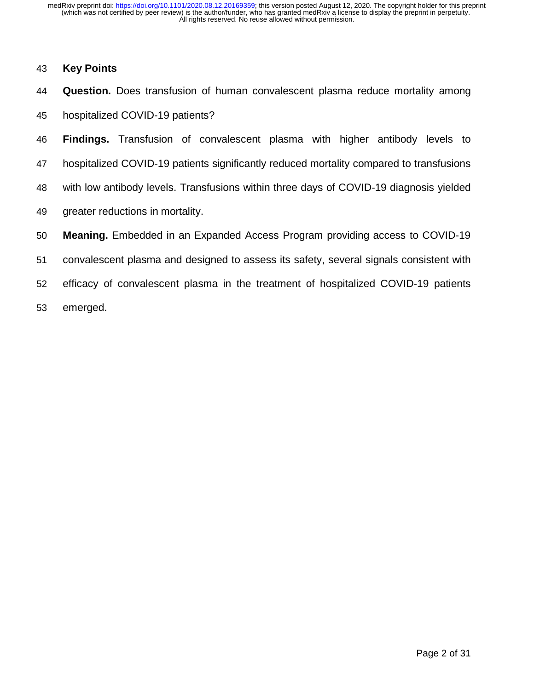# 43 **Key Points**

- 44 **Question.** Does transfusion of human convalescent plasma reduce mortality among
- 45 hospitalized COVID-19 patients?
- 46 **Findings.** Transfusion of convalescent plasma with higher antibody levels to
- 47 hospitalized COVID-19 patients significantly reduced mortality compared to transfusions
- 48 with low antibody levels. Transfusions within three days of COVID-19 diagnosis yielded
- 49 greater reductions in mortality.
- 50 **Meaning.** Embedded in an Expanded Access Program providing access to COVID-19
- 51 convalescent plasma and designed to assess its safety, several signals consistent with
- 52 efficacy of convalescent plasma in the treatment of hospitalized COVID-19 patients
- 53 emerged.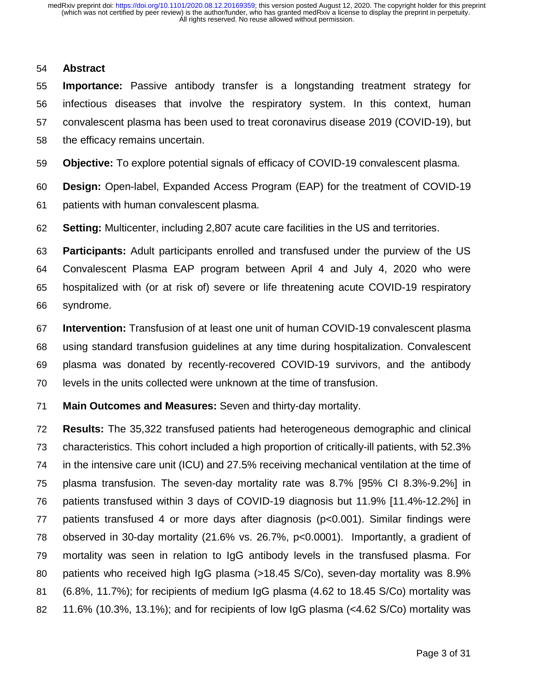#### 54 **Abstract**

55 **Importance:** Passive antibody transfer is a longstanding treatment strategy for 56 infectious diseases that involve the respiratory system. In this context, human 57 convalescent plasma has been used to treat coronavirus disease 2019 (COVID-19), but 58 the efficacy remains uncertain.

59 **Objective:** To explore potential signals of efficacy of COVID-19 convalescent plasma.

60 **Design:** Open-label, Expanded Access Program (EAP) for the treatment of COVID-19

61 patients with human convalescent plasma.

62 **Setting:** Multicenter, including 2,807 acute care facilities in the US and territories.

63 **Participants:** Adult participants enrolled and transfused under the purview of the US 64 Convalescent Plasma EAP program between April 4 and July 4, 2020 who were 65 hospitalized with (or at risk of) severe or life threatening acute COVID-19 respiratory 66 syndrome.

67 **Intervention:** Transfusion of at least one unit of human COVID-19 convalescent plasma 68 using standard transfusion guidelines at any time during hospitalization. Convalescent 69 plasma was donated by recently-recovered COVID-19 survivors, and the antibody 70 levels in the units collected were unknown at the time of transfusion.

71 **Main Outcomes and Measures:** Seven and thirty-day mortality.

72 **Results:** The 35,322 transfused patients had heterogeneous demographic and clinical 73 characteristics. This cohort included a high proportion of critically-ill patients, with 52.3% 74 in the intensive care unit (ICU) and 27.5% receiving mechanical ventilation at the time of 75 plasma transfusion. The seven-day mortality rate was 8.7% [95% CI 8.3%-9.2%] in 76 patients transfused within 3 days of COVID-19 diagnosis but 11.9% [11.4%-12.2%] in 77 patients transfused 4 or more days after diagnosis (p<0.001). Similar findings were 78 observed in 30-day mortality (21.6% vs. 26.7%, p<0.0001). Importantly, a gradient of 79 mortality was seen in relation to IgG antibody levels in the transfused plasma. For 80 patients who received high IgG plasma (>18.45 S/Co), seven-day mortality was 8.9% 81 (6.8%, 11.7%); for recipients of medium IgG plasma (4.62 to 18.45 S/Co) mortality was 82 11.6% (10.3%, 13.1%); and for recipients of low IgG plasma (<4.62 S/Co) mortality was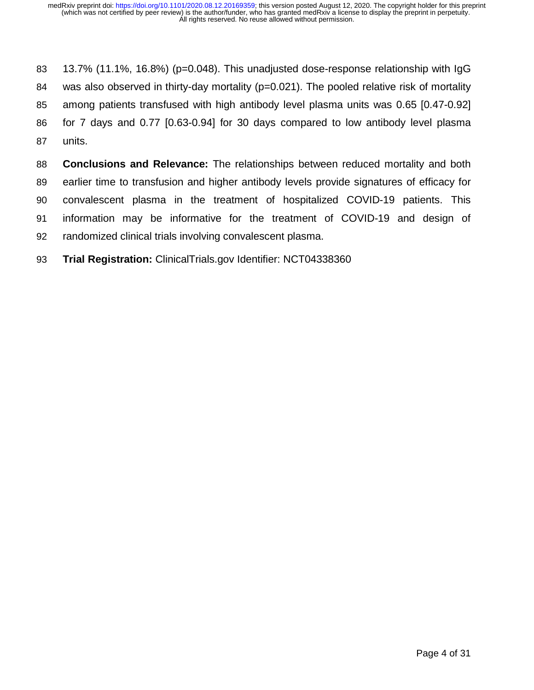83 13.7% (11.1%, 16.8%) (p=0.048). This unadjusted dose-response relationship with IgG 84 was also observed in thirty-day mortality (p=0.021). The pooled relative risk of mortality 85 among patients transfused with high antibody level plasma units was 0.65 [0.47-0.92] 86 for 7 days and 0.77 [0.63-0.94] for 30 days compared to low antibody level plasma 87 units.

88 **Conclusions and Relevance:** The relationships between reduced mortality and both 89 earlier time to transfusion and higher antibody levels provide signatures of efficacy for 90 convalescent plasma in the treatment of hospitalized COVID-19 patients. This 91 information may be informative for the treatment of COVID-19 and design of 92 randomized clinical trials involving convalescent plasma.

93 **Trial Registration:** ClinicalTrials.gov Identifier: NCT04338360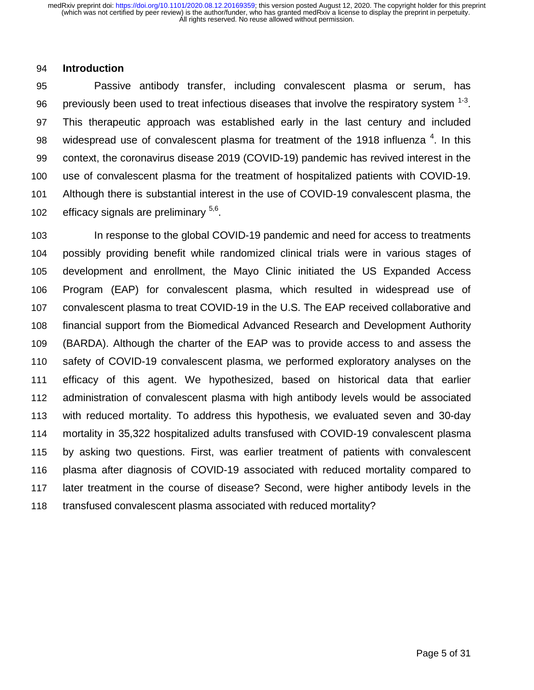#### 94 **Introduction**

95 Passive antibody transfer, including convalescent plasma or serum, has 96 previously been used to treat infectious diseases that involve the respiratory system  $1-3$ . 97 This therapeutic approach was established early in the last century and included 98 widespread use of convalescent plasma for treatment of the 1918 influenza  $4$ . In this 99 context, the coronavirus disease 2019 (COVID-19) pandemic has revived interest in the 100 use of convalescent plasma for the treatment of hospitalized patients with COVID-19. 101 Although there is substantial interest in the use of COVID-19 convalescent plasma, the 102 efficacy signals are preliminary  $5.6$ .

103 In response to the global COVID-19 pandemic and need for access to treatments 104 possibly providing benefit while randomized clinical trials were in various stages of 105 development and enrollment, the Mayo Clinic initiated the US Expanded Access 106 Program (EAP) for convalescent plasma, which resulted in widespread use of 107 convalescent plasma to treat COVID-19 in the U.S. The EAP received collaborative and 108 financial support from the Biomedical Advanced Research and Development Authority 109 (BARDA). Although the charter of the EAP was to provide access to and assess the 110 safety of COVID-19 convalescent plasma, we performed exploratory analyses on the 111 efficacy of this agent. We hypothesized, based on historical data that earlier 112 administration of convalescent plasma with high antibody levels would be associated 113 with reduced mortality. To address this hypothesis, we evaluated seven and 30-day 114 mortality in 35,322 hospitalized adults transfused with COVID-19 convalescent plasma 115 by asking two questions. First, was earlier treatment of patients with convalescent 116 plasma after diagnosis of COVID-19 associated with reduced mortality compared to 117 later treatment in the course of disease? Second, were higher antibody levels in the 118 transfused convalescent plasma associated with reduced mortality?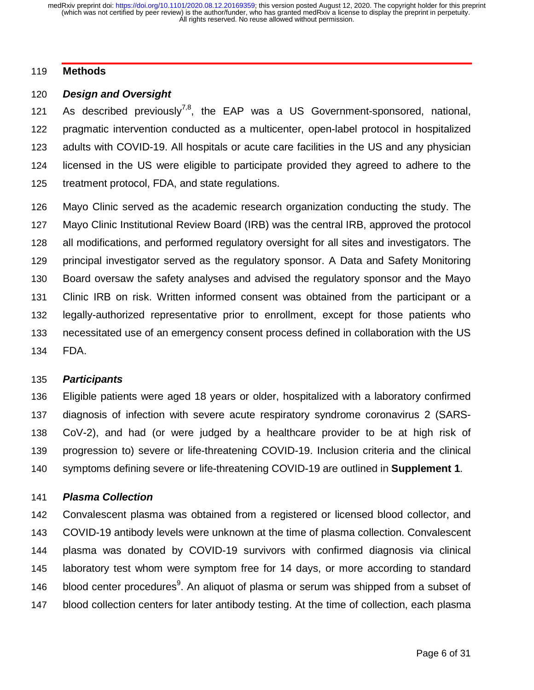#### 119 **Methods**

# 120 *Design and Oversight*

121 As described previously<sup>7,8</sup>, the EAP was a US Government-sponsored, national, 122 pragmatic intervention conducted as a multicenter, open-label protocol in hospitalized 123 adults with COVID-19. All hospitals or acute care facilities in the US and any physician 124 licensed in the US were eligible to participate provided they agreed to adhere to the 125 treatment protocol, FDA, and state regulations.

126 Mayo Clinic served as the academic research organization conducting the study. The 127 Mayo Clinic Institutional Review Board (IRB) was the central IRB, approved the protocol 128 all modifications, and performed regulatory oversight for all sites and investigators. The 129 principal investigator served as the regulatory sponsor. A Data and Safety Monitoring 130 Board oversaw the safety analyses and advised the regulatory sponsor and the Mayo 131 Clinic IRB on risk. Written informed consent was obtained from the participant or a 132 legally-authorized representative prior to enrollment, except for those patients who 133 necessitated use of an emergency consent process defined in collaboration with the US 134 FDA.

#### 135 *Participants*

136 Eligible patients were aged 18 years or older, hospitalized with a laboratory confirmed 137 diagnosis of infection with severe acute respiratory syndrome coronavirus 2 (SARS-138 CoV-2), and had (or were judged by a healthcare provider to be at high risk of 139 progression to) severe or life-threatening COVID-19. Inclusion criteria and the clinical 140 symptoms defining severe or life-threatening COVID-19 are outlined in **Supplement 1**.

#### 141 *Plasma Collection*

142 Convalescent plasma was obtained from a registered or licensed blood collector, and 143 COVID-19 antibody levels were unknown at the time of plasma collection. Convalescent 144 plasma was donated by COVID-19 survivors with confirmed diagnosis via clinical 145 laboratory test whom were symptom free for 14 days, or more according to standard 146 blood center procedures<sup>9</sup>. An aliquot of plasma or serum was shipped from a subset of 147 blood collection centers for later antibody testing. At the time of collection, each plasma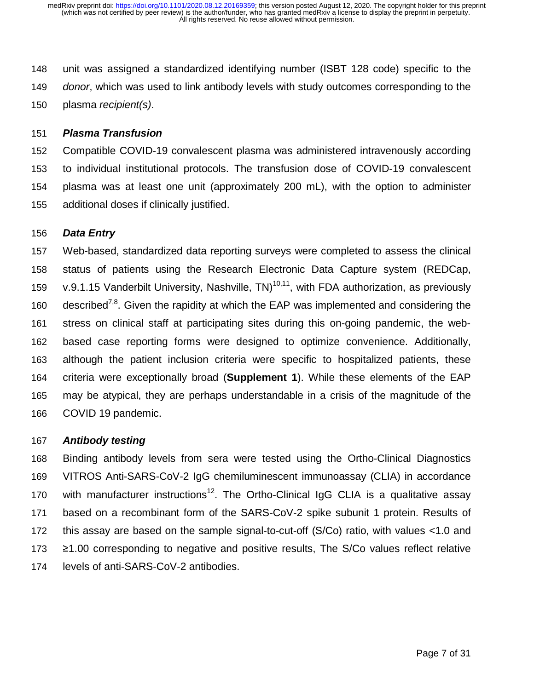148 unit was assigned a standardized identifying number (ISBT 128 code) specific to the 149 *donor*, which was used to link antibody levels with study outcomes corresponding to the 150 plasma *recipient(s)*.

# 151 *Plasma Transfusion*

152 Compatible COVID-19 convalescent plasma was administered intravenously according 153 to individual institutional protocols. The transfusion dose of COVID-19 convalescent 154 plasma was at least one unit (approximately 200 mL), with the option to administer 155 additional doses if clinically justified.

#### 156 *Data Entry*

157 Web-based, standardized data reporting surveys were completed to assess the clinical 158 status of patients using the Research Electronic Data Capture system (REDCap, 159 v.9.1.15 Vanderbilt University, Nashville, TN)<sup>10,11</sup>, with FDA authorization, as previously 160 described<sup>7,8</sup>. Given the rapidity at which the EAP was implemented and considering the 161 stress on clinical staff at participating sites during this on-going pandemic, the web-162 based case reporting forms were designed to optimize convenience. Additionally, 163 although the patient inclusion criteria were specific to hospitalized patients, these 164 criteria were exceptionally broad (**Supplement 1**). While these elements of the EAP 165 may be atypical, they are perhaps understandable in a crisis of the magnitude of the 166 COVID 19 pandemic.

# 167 *Antibody testing*

168 Binding antibody levels from sera were tested using the Ortho-Clinical Diagnostics 169 VITROS Anti-SARS-CoV-2 IgG chemiluminescent immunoassay (CLIA) in accordance 170 with manufacturer instructions<sup>12</sup>. The Ortho-Clinical IgG CLIA is a qualitative assay 171 based on a recombinant form of the SARS-CoV-2 spike subunit 1 protein. Results of 172 this assay are based on the sample signal-to-cut-off (S/Co) ratio, with values <1.0 and 173 ≥1.00 corresponding to negative and positive results, The S/Co values reflect relative<br>174 levels of anti-SARS-CoV-2 antibodies. levels of anti-SARS-CoV-2 antibodies.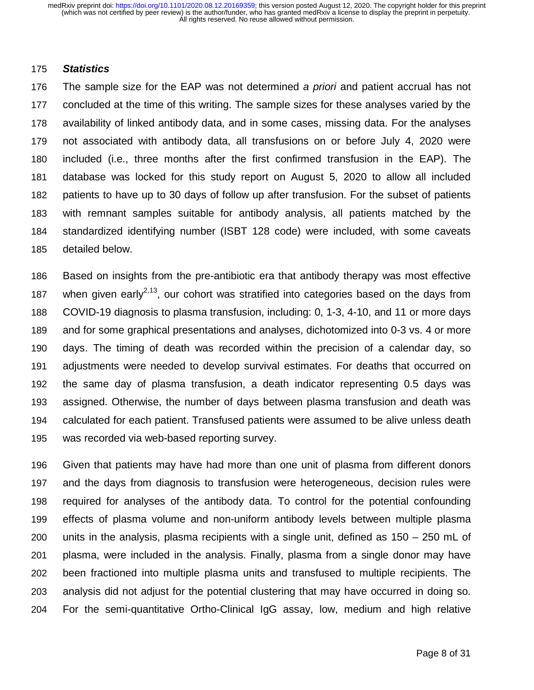#### 175 *Statistics*

176 The sample size for the EAP was not determined *a priori* and patient accrual has not 177 concluded at the time of this writing. The sample sizes for these analyses varied by the 178 availability of linked antibody data, and in some cases, missing data. For the analyses 179 not associated with antibody data, all transfusions on or before July 4, 2020 were 180 included (i.e., three months after the first confirmed transfusion in the EAP). The 181 database was locked for this study report on August 5, 2020 to allow all included 182 patients to have up to 30 days of follow up after transfusion. For the subset of patients 183 with remnant samples suitable for antibody analysis, all patients matched by the 184 standardized identifying number (ISBT 128 code) were included, with some caveats 185 detailed below.

186 Based on insights from the pre-antibiotic era that antibody therapy was most effective 187 when given early<sup>2,13</sup>, our cohort was stratified into categories based on the days from 188 COVID-19 diagnosis to plasma transfusion, including: 0, 1-3, 4-10, and 11 or more days 189 and for some graphical presentations and analyses, dichotomized into 0-3 vs. 4 or more 190 days. The timing of death was recorded within the precision of a calendar day, so 191 adjustments were needed to develop survival estimates. For deaths that occurred on 192 the same day of plasma transfusion, a death indicator representing 0.5 days was 193 assigned. Otherwise, the number of days between plasma transfusion and death was 194 calculated for each patient. Transfused patients were assumed to be alive unless death 195 was recorded via web-based reporting survey.

196 Given that patients may have had more than one unit of plasma from different donors 197 and the days from diagnosis to transfusion were heterogeneous, decision rules were 198 required for analyses of the antibody data. To control for the potential confounding 199 effects of plasma volume and non-uniform antibody levels between multiple plasma 200 units in the analysis, plasma recipients with a single unit, defined as 150 – 250 mL of 201 plasma, were included in the analysis. Finally, plasma from a single donor may have 202 been fractioned into multiple plasma units and transfused to multiple recipients. The 203 analysis did not adjust for the potential clustering that may have occurred in doing so. 204 For the semi-quantitative Ortho-Clinical IgG assay, low, medium and high relative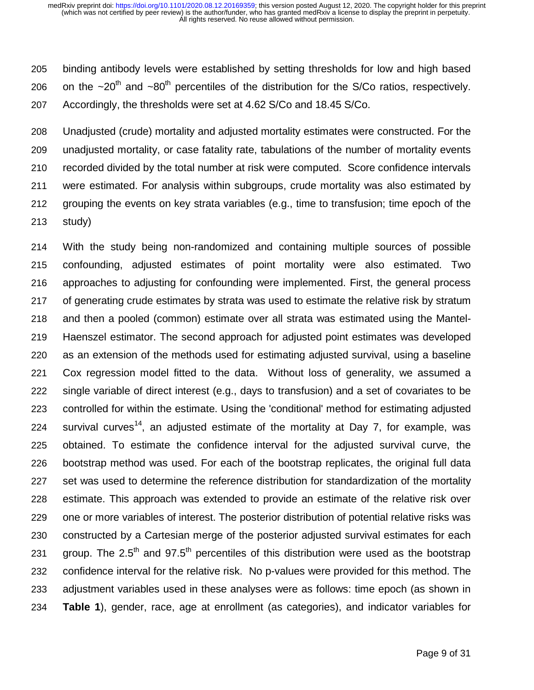205 binding antibody levels were established by setting thresholds for low and high based 206 on the  $\sim$ 20<sup>th</sup> and  $\sim$ 80<sup>th</sup> percentiles of the distribution for the S/Co ratios, respectively. 207 Accordingly, the thresholds were set at 4.62 S/Co and 18.45 S/Co.

208 Unadjusted (crude) mortality and adjusted mortality estimates were constructed. For the 209 unadjusted mortality, or case fatality rate, tabulations of the number of mortality events 210 recorded divided by the total number at risk were computed. Score confidence intervals 211 were estimated. For analysis within subgroups, crude mortality was also estimated by 212 grouping the events on key strata variables (e.g., time to transfusion; time epoch of the 213 study)

214 With the study being non-randomized and containing multiple sources of possible 215 confounding, adjusted estimates of point mortality were also estimated. Two 216 approaches to adjusting for confounding were implemented. First, the general process 217 of generating crude estimates by strata was used to estimate the relative risk by stratum 218 and then a pooled (common) estimate over all strata was estimated using the Mantel-219 Haenszel estimator. The second approach for adjusted point estimates was developed 220 as an extension of the methods used for estimating adjusted survival, using a baseline 221 Cox regression model fitted to the data. Without loss of generality, we assumed a 222 single variable of direct interest (e.g., days to transfusion) and a set of covariates to be 223 controlled for within the estimate. Using the 'conditional' method for estimating adjusted 224 survival curves<sup>14</sup>, an adjusted estimate of the mortality at Day 7, for example, was 225 obtained. To estimate the confidence interval for the adjusted survival curve, the 226 bootstrap method was used. For each of the bootstrap replicates, the original full data 227 set was used to determine the reference distribution for standardization of the mortality 228 estimate. This approach was extended to provide an estimate of the relative risk over 229 one or more variables of interest. The posterior distribution of potential relative risks was 230 constructed by a Cartesian merge of the posterior adjusted survival estimates for each 231 group. The 2.5<sup>th</sup> and 97.5<sup>th</sup> percentiles of this distribution were used as the bootstrap 232 confidence interval for the relative risk. No p-values were provided for this method. The 233 adjustment variables used in these analyses were as follows: time epoch (as shown in 234 **Table 1**), gender, race, age at enrollment (as categories), and indicator variables for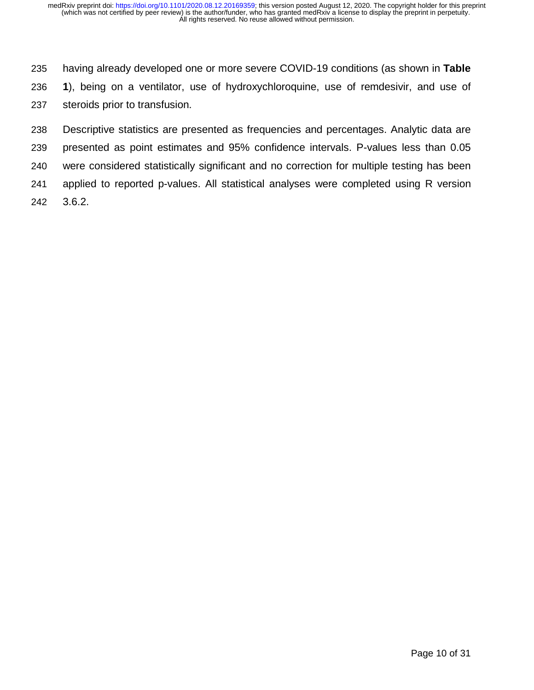235 having already developed one or more severe COVID-19 conditions (as shown in **Table**  236 **1**), being on a ventilator, use of hydroxychloroquine, use of remdesivir, and use of 237 steroids prior to transfusion.

238 Descriptive statistics are presented as frequencies and percentages. Analytic data are 239 presented as point estimates and 95% confidence intervals. P-values less than 0.05 240 were considered statistically significant and no correction for multiple testing has been 241 applied to reported p-values. All statistical analyses were completed using R version 242 3.6.2.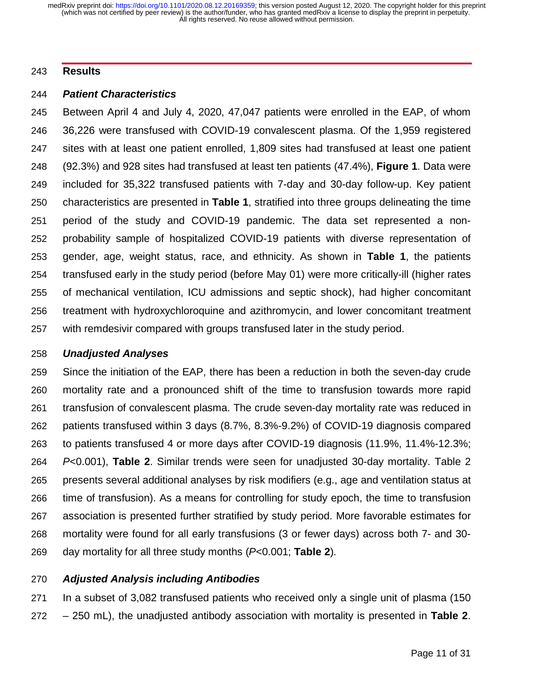#### 243 **Results**

# 244 *Patient Characteristics*

245 Between April 4 and July 4, 2020, 47,047 patients were enrolled in the EAP, of whom 246 36,226 were transfused with COVID-19 convalescent plasma. Of the 1,959 registered 247 sites with at least one patient enrolled, 1,809 sites had transfused at least one patient 248 (92.3%) and 928 sites had transfused at least ten patients (47.4%), **Figure 1**. Data were 249 included for 35,322 transfused patients with 7-day and 30-day follow-up. Key patient 250 characteristics are presented in **Table 1**, stratified into three groups delineating the time 251 period of the study and COVID-19 pandemic. The data set represented a non-252 probability sample of hospitalized COVID-19 patients with diverse representation of 253 gender, age, weight status, race, and ethnicity. As shown in **Table 1**, the patients 254 transfused early in the study period (before May 01) were more critically-ill (higher rates 255 of mechanical ventilation, ICU admissions and septic shock), had higher concomitant 256 treatment with hydroxychloroquine and azithromycin, and lower concomitant treatment 257 with remdesivir compared with groups transfused later in the study period.

#### 258 *Unadjusted Analyses*

259 Since the initiation of the EAP, there has been a reduction in both the seven-day crude 260 mortality rate and a pronounced shift of the time to transfusion towards more rapid 261 transfusion of convalescent plasma. The crude seven-day mortality rate was reduced in 262 patients transfused within 3 days (8.7%, 8.3%-9.2%) of COVID-19 diagnosis compared 263 to patients transfused 4 or more days after COVID-19 diagnosis (11.9%, 11.4%-12.3%; 264 *P*<0.001), **Table 2**. Similar trends were seen for unadjusted 30-day mortality. Table 2 265 presents several additional analyses by risk modifiers (e.g., age and ventilation status at 266 time of transfusion). As a means for controlling for study epoch, the time to transfusion 267 association is presented further stratified by study period. More favorable estimates for 268 mortality were found for all early transfusions (3 or fewer days) across both 7- and 30- 269 day mortality for all three study months (*P*<0.001; **Table 2**).

# 270 *Adjusted Analysis including Antibodies*

271 In a subset of 3,082 transfused patients who received only a single unit of plasma (150 272 – 250 mL), the unadjusted antibody association with mortality is presented in **Table 2**.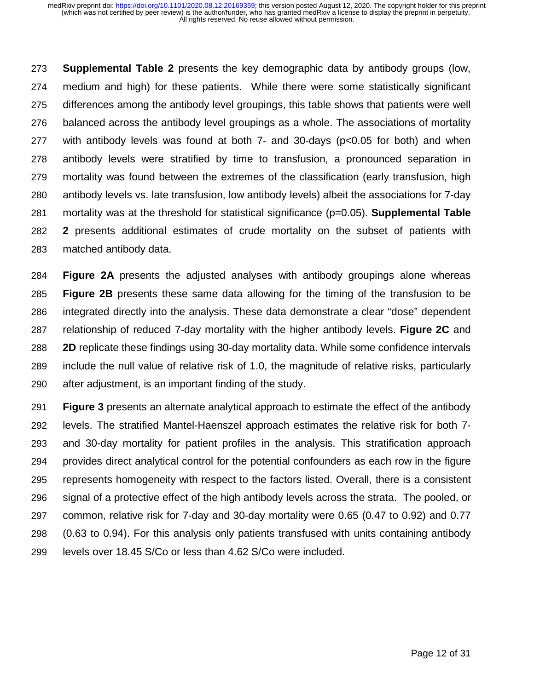273 **Supplemental Table 2** presents the key demographic data by antibody groups (low, 274 medium and high) for these patients. While there were some statistically significant 275 differences among the antibody level groupings, this table shows that patients were well 276 balanced across the antibody level groupings as a whole. The associations of mortality 277 with antibody levels was found at both 7- and 30-days (p<0.05 for both) and when 278 antibody levels were stratified by time to transfusion, a pronounced separation in 279 mortality was found between the extremes of the classification (early transfusion, high 280 antibody levels vs. late transfusion, low antibody levels) albeit the associations for 7-day 281 mortality was at the threshold for statistical significance (p=0.05). **Supplemental Table**  282 **2** presents additional estimates of crude mortality on the subset of patients with 283 matched antibody data.

284 **Figure 2A** presents the adjusted analyses with antibody groupings alone whereas 285 **Figure 2B** presents these same data allowing for the timing of the transfusion to be 286 integrated directly into the analysis. These data demonstrate a clear "dose" dependent 287 relationship of reduced 7-day mortality with the higher antibody levels. **Figure 2C** and 288 **2D** replicate these findings using 30-day mortality data. While some confidence intervals 289 include the null value of relative risk of 1.0, the magnitude of relative risks, particularly 290 after adjustment, is an important finding of the study.

291 **Figure 3** presents an alternate analytical approach to estimate the effect of the antibody 292 levels. The stratified Mantel-Haenszel approach estimates the relative risk for both 7- 293 and 30-day mortality for patient profiles in the analysis. This stratification approach 294 provides direct analytical control for the potential confounders as each row in the figure 295 represents homogeneity with respect to the factors listed. Overall, there is a consistent 296 signal of a protective effect of the high antibody levels across the strata. The pooled, or 297 common, relative risk for 7-day and 30-day mortality were 0.65 (0.47 to 0.92) and 0.77 298 (0.63 to 0.94). For this analysis only patients transfused with units containing antibody 299 levels over 18.45 S/Co or less than 4.62 S/Co were included.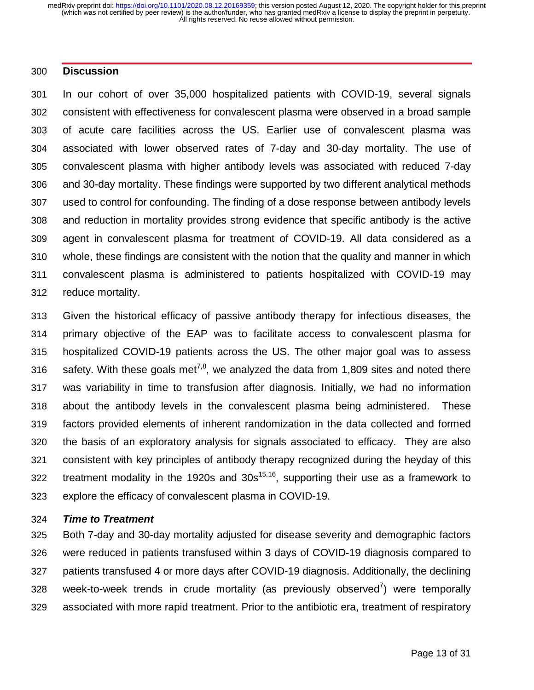#### 300 **Discussion**

301 In our cohort of over 35,000 hospitalized patients with COVID-19, several signals 302 consistent with effectiveness for convalescent plasma were observed in a broad sample 303 of acute care facilities across the US. Earlier use of convalescent plasma was 304 associated with lower observed rates of 7-day and 30-day mortality. The use of 305 convalescent plasma with higher antibody levels was associated with reduced 7-day 306 and 30-day mortality. These findings were supported by two different analytical methods 307 used to control for confounding. The finding of a dose response between antibody levels 308 and reduction in mortality provides strong evidence that specific antibody is the active 309 agent in convalescent plasma for treatment of COVID-19. All data considered as a 310 whole, these findings are consistent with the notion that the quality and manner in which 311 convalescent plasma is administered to patients hospitalized with COVID-19 may 312 reduce mortality.

313 Given the historical efficacy of passive antibody therapy for infectious diseases, the 314 primary objective of the EAP was to facilitate access to convalescent plasma for 315 hospitalized COVID-19 patients across the US. The other major goal was to assess 316 safety. With these goals met<sup>7,8</sup>, we analyzed the data from 1,809 sites and noted there 317 was variability in time to transfusion after diagnosis. Initially, we had no information 318 about the antibody levels in the convalescent plasma being administered. These 319 factors provided elements of inherent randomization in the data collected and formed 320 the basis of an exploratory analysis for signals associated to efficacy. They are also 321 consistent with key principles of antibody therapy recognized during the heyday of this 322 treatment modality in the 1920s and  $30s^{15,16}$ , supporting their use as a framework to 323 explore the efficacy of convalescent plasma in COVID-19.

#### 324 *Time to Treatment*

325 Both 7-day and 30-day mortality adjusted for disease severity and demographic factors 326 were reduced in patients transfused within 3 days of COVID-19 diagnosis compared to 327 patients transfused 4 or more days after COVID-19 diagnosis. Additionally, the declining 328 week-to-week trends in crude mortality (as previously observed<sup>7</sup>) were temporally 329 associated with more rapid treatment. Prior to the antibiotic era, treatment of respiratory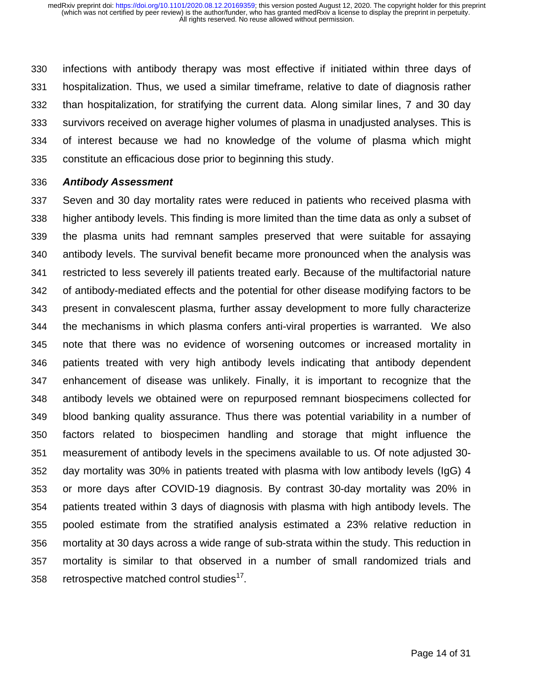330 infections with antibody therapy was most effective if initiated within three days of 331 hospitalization. Thus, we used a similar timeframe, relative to date of diagnosis rather 332 than hospitalization, for stratifying the current data. Along similar lines, 7 and 30 day 333 survivors received on average higher volumes of plasma in unadjusted analyses. This is 334 of interest because we had no knowledge of the volume of plasma which might 335 constitute an efficacious dose prior to beginning this study.

#### 336 *Antibody Assessment*

337 Seven and 30 day mortality rates were reduced in patients who received plasma with 338 higher antibody levels. This finding is more limited than the time data as only a subset of 339 the plasma units had remnant samples preserved that were suitable for assaying 340 antibody levels. The survival benefit became more pronounced when the analysis was 341 restricted to less severely ill patients treated early. Because of the multifactorial nature 342 of antibody-mediated effects and the potential for other disease modifying factors to be 343 present in convalescent plasma, further assay development to more fully characterize 344 the mechanisms in which plasma confers anti-viral properties is warranted. We also 345 note that there was no evidence of worsening outcomes or increased mortality in 346 patients treated with very high antibody levels indicating that antibody dependent 347 enhancement of disease was unlikely. Finally, it is important to recognize that the 348 antibody levels we obtained were on repurposed remnant biospecimens collected for 349 blood banking quality assurance. Thus there was potential variability in a number of 350 factors related to biospecimen handling and storage that might influence the 351 measurement of antibody levels in the specimens available to us. Of note adjusted 30- 352 day mortality was 30% in patients treated with plasma with low antibody levels (IgG) 4 353 or more days after COVID-19 diagnosis. By contrast 30-day mortality was 20% in 354 patients treated within 3 days of diagnosis with plasma with high antibody levels. The 355 pooled estimate from the stratified analysis estimated a 23% relative reduction in 356 mortality at 30 days across a wide range of sub-strata within the study. This reduction in 357 mortality is similar to that observed in a number of small randomized trials and 358 retrospective matched control studies<sup>17</sup>.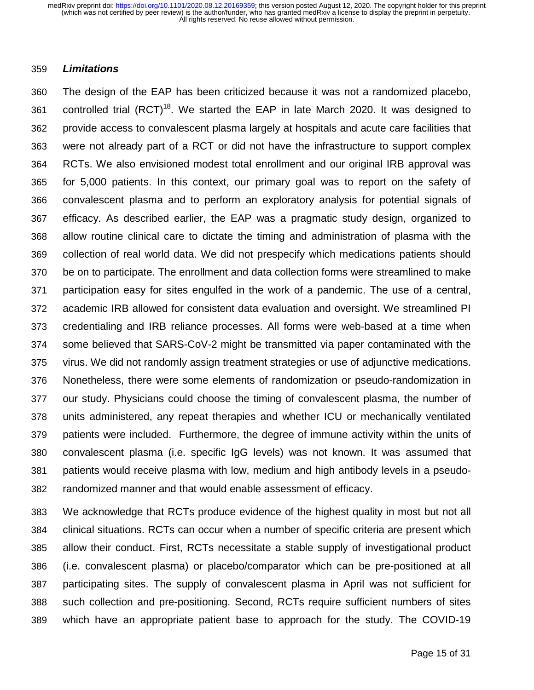#### 359 *Limitations*

360 The design of the EAP has been criticized because it was not a randomized placebo, 361 controlled trial  $(RCT)^{18}$ . We started the EAP in late March 2020. It was designed to 362 provide access to convalescent plasma largely at hospitals and acute care facilities that 363 were not already part of a RCT or did not have the infrastructure to support complex 364 RCTs. We also envisioned modest total enrollment and our original IRB approval was 365 for 5,000 patients. In this context, our primary goal was to report on the safety of 366 convalescent plasma and to perform an exploratory analysis for potential signals of 367 efficacy. As described earlier, the EAP was a pragmatic study design, organized to 368 allow routine clinical care to dictate the timing and administration of plasma with the 369 collection of real world data. We did not prespecify which medications patients should 370 be on to participate. The enrollment and data collection forms were streamlined to make 371 participation easy for sites engulfed in the work of a pandemic. The use of a central, 372 academic IRB allowed for consistent data evaluation and oversight. We streamlined PI 373 credentialing and IRB reliance processes. All forms were web-based at a time when 374 some believed that SARS-CoV-2 might be transmitted via paper contaminated with the 375 virus. We did not randomly assign treatment strategies or use of adjunctive medications. 376 Nonetheless, there were some elements of randomization or pseudo-randomization in 377 our study. Physicians could choose the timing of convalescent plasma, the number of 378 units administered, any repeat therapies and whether ICU or mechanically ventilated 379 patients were included. Furthermore, the degree of immune activity within the units of 380 convalescent plasma (i.e. specific IgG levels) was not known. It was assumed that 381 patients would receive plasma with low, medium and high antibody levels in a pseudo-382 randomized manner and that would enable assessment of efficacy.

383 We acknowledge that RCTs produce evidence of the highest quality in most but not all 384 clinical situations. RCTs can occur when a number of specific criteria are present which 385 allow their conduct. First, RCTs necessitate a stable supply of investigational product 386 (i.e. convalescent plasma) or placebo/comparator which can be pre-positioned at all 387 participating sites. The supply of convalescent plasma in April was not sufficient for 388 such collection and pre-positioning. Second, RCTs require sufficient numbers of sites 389 which have an appropriate patient base to approach for the study. The COVID-19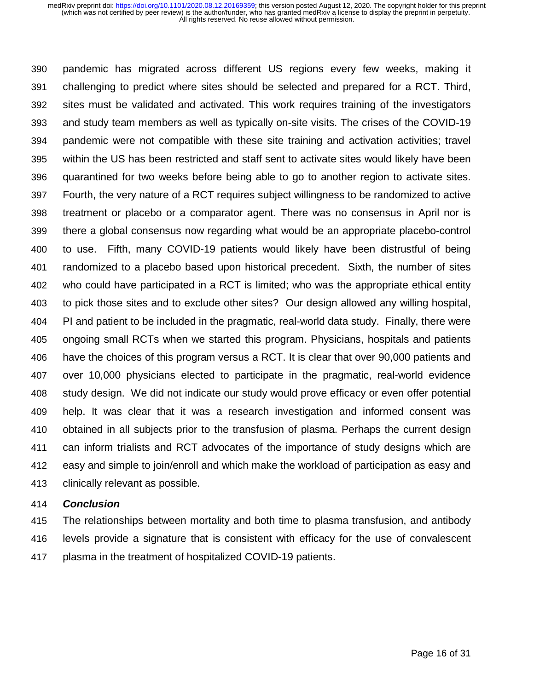390 pandemic has migrated across different US regions every few weeks, making it 391 challenging to predict where sites should be selected and prepared for a RCT. Third, 392 sites must be validated and activated. This work requires training of the investigators 393 and study team members as well as typically on-site visits. The crises of the COVID-19 394 pandemic were not compatible with these site training and activation activities; travel 395 within the US has been restricted and staff sent to activate sites would likely have been 396 quarantined for two weeks before being able to go to another region to activate sites. 397 Fourth, the very nature of a RCT requires subject willingness to be randomized to active 398 treatment or placebo or a comparator agent. There was no consensus in April nor is 399 there a global consensus now regarding what would be an appropriate placebo-control 400 to use. Fifth, many COVID-19 patients would likely have been distrustful of being 401 randomized to a placebo based upon historical precedent. Sixth, the number of sites 402 who could have participated in a RCT is limited; who was the appropriate ethical entity 403 to pick those sites and to exclude other sites? Our design allowed any willing hospital, 404 PI and patient to be included in the pragmatic, real-world data study. Finally, there were 405 ongoing small RCTs when we started this program. Physicians, hospitals and patients 406 have the choices of this program versus a RCT. It is clear that over 90,000 patients and 407 over 10,000 physicians elected to participate in the pragmatic, real-world evidence 408 study design. We did not indicate our study would prove efficacy or even offer potential 409 help. It was clear that it was a research investigation and informed consent was 410 obtained in all subjects prior to the transfusion of plasma. Perhaps the current design 411 can inform trialists and RCT advocates of the importance of study designs which are 412 easy and simple to join/enroll and which make the workload of participation as easy and 413 clinically relevant as possible.

# 414 *Conclusion*

415 The relationships between mortality and both time to plasma transfusion, and antibody 416 levels provide a signature that is consistent with efficacy for the use of convalescent 417 plasma in the treatment of hospitalized COVID-19 patients.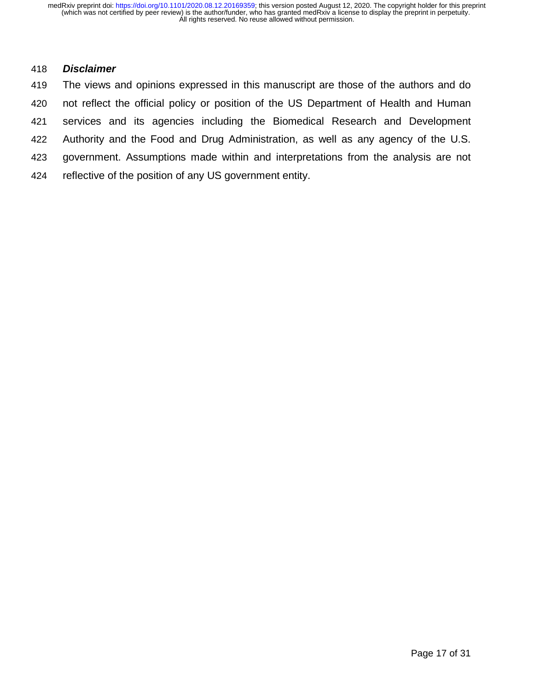# 418 *Disclaimer*

419 The views and opinions expressed in this manuscript are those of the authors and do 420 not reflect the official policy or position of the US Department of Health and Human 421 services and its agencies including the Biomedical Research and Development 422 Authority and the Food and Drug Administration, as well as any agency of the U.S. 423 government. Assumptions made within and interpretations from the analysis are not 424 reflective of the position of any US government entity.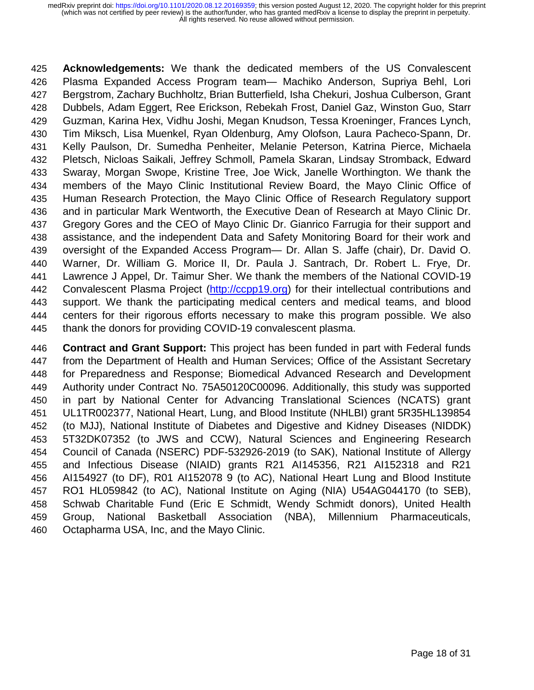425 **Acknowledgements:** We thank the dedicated members of the US Convalescent 426 Plasma Expanded Access Program team— Machiko Anderson, Supriya Behl, Lori 427 Bergstrom, Zachary Buchholtz, Brian Butterfield, Isha Chekuri, Joshua Culberson, Grant 428 Dubbels, Adam Eggert, Ree Erickson, Rebekah Frost, Daniel Gaz, Winston Guo, Starr 429 Guzman, Karina Hex, Vidhu Joshi, Megan Knudson, Tessa Kroeninger, Frances Lynch, 430 Tim Miksch, Lisa Muenkel, Ryan Oldenburg, Amy Olofson, Laura Pacheco-Spann, Dr. 431 Kelly Paulson, Dr. Sumedha Penheiter, Melanie Peterson, Katrina Pierce, Michaela 432 Pletsch, Nicloas Saikali, Jeffrey Schmoll, Pamela Skaran, Lindsay Stromback, Edward 433 Swaray, Morgan Swope, Kristine Tree, Joe Wick, Janelle Worthington. We thank the 434 members of the Mayo Clinic Institutional Review Board, the Mayo Clinic Office of 435 Human Research Protection, the Mayo Clinic Office of Research Regulatory support 436 and in particular Mark Wentworth, the Executive Dean of Research at Mayo Clinic Dr. 437 Gregory Gores and the CEO of Mayo Clinic Dr. Gianrico Farrugia for their support and 438 assistance, and the independent Data and Safety Monitoring Board for their work and 439 oversight of the Expanded Access Program— Dr. Allan S. Jaffe (chair), Dr. David O. 440 Warner, Dr. William G. Morice II, Dr. Paula J. Santrach, Dr. Robert L. Frye, Dr. 441 Lawrence J Appel, Dr. Taimur Sher. We thank the members of the National COVID-19 442 Convalescent Plasma Project (http://ccpp19.org) for their intellectual contributions and 443 support. We thank the participating medical centers and medical teams, and blood 444 centers for their rigorous efforts necessary to make this program possible. We also 445 thank the donors for providing COVID-19 convalescent plasma.

446 **Contract and Grant Support:** This project has been funded in part with Federal funds 447 from the Department of Health and Human Services; Office of the Assistant Secretary 448 for Preparedness and Response; Biomedical Advanced Research and Development 449 Authority under Contract No. 75A50120C00096. Additionally, this study was supported 450 in part by National Center for Advancing Translational Sciences (NCATS) grant 451 UL1TR002377, National Heart, Lung, and Blood Institute (NHLBI) grant 5R35HL139854 452 (to MJJ), National Institute of Diabetes and Digestive and Kidney Diseases (NIDDK) 453 5T32DK07352 (to JWS and CCW), Natural Sciences and Engineering Research 454 Council of Canada (NSERC) PDF-532926-2019 (to SAK), National Institute of Allergy 455 and Infectious Disease (NIAID) grants R21 AI145356, R21 AI152318 and R21 456 AI154927 (to DF), R01 AI152078 9 (to AC), National Heart Lung and Blood Institute 457 RO1 HL059842 (to AC), National Institute on Aging (NIA) U54AG044170 (to SEB), 458 Schwab Charitable Fund (Eric E Schmidt, Wendy Schmidt donors), United Health 459 Group, National Basketball Association (NBA), Millennium Pharmaceuticals, 460 Octapharma USA, Inc, and the Mayo Clinic.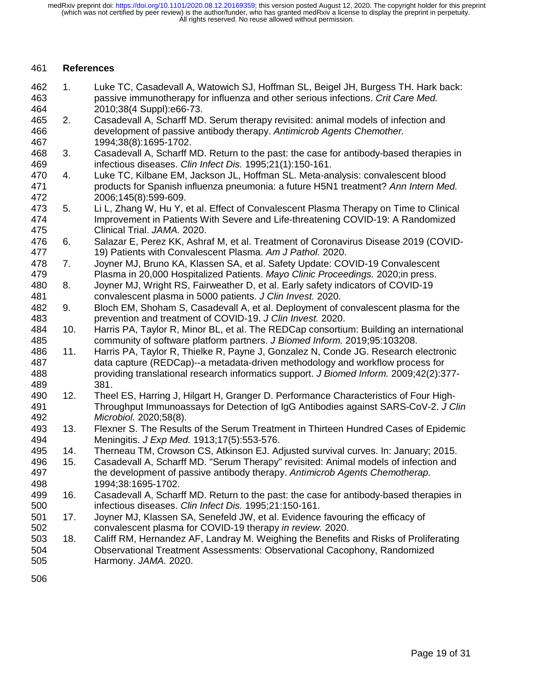#### 461 **References**

- 462 1. Luke TC, Casadevall A, Watowich SJ, Hoffman SL, Beigel JH, Burgess TH. Hark back: 463 passive immunotherapy for influenza and other serious infections. *Crit Care Med.*  464 2010;38(4 Suppl):e66-73.
- 465 2. Casadevall A, Scharff MD. Serum therapy revisited: animal models of infection and 466 development of passive antibody therapy. *Antimicrob Agents Chemother.*  467 1994;38(8):1695-1702.
- 468 3. Casadevall A, Scharff MD. Return to the past: the case for antibody-based therapies in 469 infectious diseases. Clin Infect Dis. 1995:21(1):150-161. 469 infectious diseases. *Clin Infect Dis.* 1995;21(1):150-161.
- 470 4. Luke TC, Kilbane EM, Jackson JL, Hoffman SL. Meta-analysis: convalescent blood 471 products for Spanish influenza pneumonia: a future H5N1 treatment? *Ann Intern Med.*  472 2006;145(8):599-609.
- 473 5. Li L, Zhang W, Hu Y, et al. Effect of Convalescent Plasma Therapy on Time to Clinical 474 Improvement in Patients With Severe and Life-threatening COVID-19: A Randomized 475 Clinical Trial. *JAMA.* 2020.
- 476 6. Salazar E, Perez KK, Ashraf M, et al. Treatment of Coronavirus Disease 2019 (COVID-477 19) Patients with Convalescent Plasma. *Am J Pathol.* 2020.
- 478 7. Joyner MJ, Bruno KA, Klassen SA, et al. Safety Update: COVID-19 Convalescent 479 Plasma in 20,000 Hospitalized Patients. *Mayo Clinic Proceedings.* 2020;in press.
- 480 8. Joyner MJ, Wright RS, Fairweather D, et al. Early safety indicators of COVID-19 481 convalescent plasma in 5000 patients. *J Clin Invest.* 2020.
- 482 9. Bloch EM, Shoham S, Casadevall A, et al. Deployment of convalescent plasma for the 483 prevention and treatment of COVID-19. *J Clin Invest.* 2020.
- 484 10. Harris PA, Taylor R, Minor BL, et al. The REDCap consortium: Building an international 485 community of software platform partners. *J Biomed Inform.* 2019;95:103208.
- 486 11. Harris PA, Taylor R, Thielke R, Payne J, Gonzalez N, Conde JG. Research electronic 487 data capture (REDCap)--a metadata-driven methodology and workflow process for 488 providing translational research informatics support. *J Biomed Inform.* 2009;42(2):377- 489 381.
- 490 12. Theel ES, Harring J, Hilgart H, Granger D. Performance Characteristics of Four High-491 Throughput Immunoassays for Detection of IgG Antibodies against SARS-CoV-2. *J Clin*  492 *Microbiol.* 2020;58(8).
- 493 13. Flexner S. The Results of the Serum Treatment in Thirteen Hundred Cases of Epidemic 494 Meningitis. *J Exp Med.* 1913;17(5):553-576.
- 495 14. Therneau TM, Crowson CS, Atkinson EJ. Adjusted survival curves. In: January; 2015.
- 496 15. Casadevall A, Scharff MD. "Serum Therapy" revisited: Animal models of infection and 497 the development of passive antibody therapy. *Antimicrob Agents Chemotherap.*  498 1994;38:1695-1702.
- 499 16. Casadevall A, Scharff MD. Return to the past: the case for antibody-based therapies in 500 infectious diseases. *Clin Infect Dis.* 1995;21:150-161.
- 501 17. Joyner MJ, Klassen SA, Senefeld JW, et al. Evidence favouring the efficacy of 502 convalescent plasma for COVID-19 therapy *in review.* 2020.
- 503 18. Califf RM, Hernandez AF, Landray M. Weighing the Benefits and Risks of Proliferating 504 Observational Treatment Assessments: Observational Cacophony, Randomized 505 Harmony. *JAMA.* 2020.

506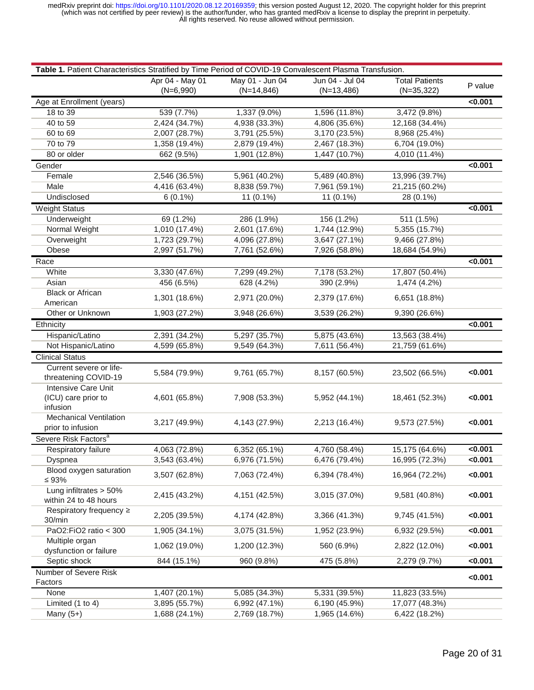| Table 1. Patient Characteristics Stratified by Time Period of COVID-19 Convalescent Plasma Transfusion. |                 |                 |                 |                       |                |  |  |
|---------------------------------------------------------------------------------------------------------|-----------------|-----------------|-----------------|-----------------------|----------------|--|--|
|                                                                                                         | Apr 04 - May 01 | May 01 - Jun 04 | Jun 04 - Jul 04 | <b>Total Patients</b> | P value        |  |  |
|                                                                                                         | $(N=6,990)$     | $(N=14,846)$    | $(N=13,486)$    | $(N=35, 322)$         |                |  |  |
| Age at Enrollment (years)                                                                               |                 |                 |                 |                       | < 0.001        |  |  |
| 18 to 39                                                                                                | 539 (7.7%)      | 1,337 (9.0%)    | 1,596 (11.8%)   | 3,472 (9.8%)          |                |  |  |
| 40 to 59                                                                                                | 2,424 (34.7%)   | 4,938 (33.3%)   | 4,806 (35.6%)   | 12,168 (34.4%)        |                |  |  |
| 60 to 69                                                                                                | 2,007 (28.7%)   | 3,791 (25.5%)   | 3,170 (23.5%)   | 8,968 (25.4%)         |                |  |  |
| 70 to 79                                                                                                | 1,358 (19.4%)   | 2,879 (19.4%)   | 2,467 (18.3%)   | 6,704 (19.0%)         |                |  |  |
| 80 or older                                                                                             | 662 (9.5%)      | 1,901 (12.8%)   | 1,447 (10.7%)   | 4,010 (11.4%)         |                |  |  |
| Gender                                                                                                  |                 |                 |                 |                       | $\sqrt{0.001}$ |  |  |
| Female                                                                                                  | 2,546 (36.5%)   | 5,961 (40.2%)   | 5,489 (40.8%)   | 13,996 (39.7%)        |                |  |  |
| Male                                                                                                    | 4,416 (63.4%)   | 8,838 (59.7%)   | 7,961 (59.1%)   | 21,215 (60.2%)        |                |  |  |
| Undisclosed                                                                                             | $6(0.1\%)$      | 11 (0.1%)       | 11 (0.1%)       | 28 (0.1%)             |                |  |  |
| <b>Weight Status</b>                                                                                    |                 |                 |                 |                       | < 0.001        |  |  |
| Underweight                                                                                             | 69 (1.2%)       | 286 (1.9%)      | 156 (1.2%)      | 511 (1.5%)            |                |  |  |
| Normal Weight                                                                                           | 1,010 (17.4%)   | 2,601 (17.6%)   | 1,744 (12.9%)   | 5,355 (15.7%)         |                |  |  |
| Overweight                                                                                              | 1,723 (29.7%)   | 4,096 (27.8%)   | 3,647 (27.1%)   | 9,466 (27.8%)         |                |  |  |
| Obese                                                                                                   | 2,997 (51.7%)   | 7,761 (52.6%)   | 7,926 (58.8%)   | 18,684 (54.9%)        |                |  |  |
| Race                                                                                                    |                 |                 |                 |                       | < 0.001        |  |  |
| White                                                                                                   | 3,330 (47.6%)   | 7,299 (49.2%)   | 7,178 (53.2%)   | 17,807 (50.4%)        |                |  |  |
| Asian                                                                                                   | 456 (6.5%)      | 628 (4.2%)      | 390 (2.9%)      | 1,474 (4.2%)          |                |  |  |
| <b>Black or African</b>                                                                                 | 1,301 (18.6%)   | 2,971 (20.0%)   | 2,379 (17.6%)   | 6,651 (18.8%)         |                |  |  |
| American                                                                                                |                 |                 |                 |                       |                |  |  |
| Other or Unknown                                                                                        | 1,903 (27.2%)   | 3,948 (26.6%)   | 3,539 (26.2%)   | 9,390 (26.6%)         |                |  |  |
| Ethnicity                                                                                               |                 |                 |                 |                       | < 0.001        |  |  |
| Hispanic/Latino                                                                                         | 2,391 (34.2%)   | 5,297 (35.7%)   | 5,875 (43.6%)   | 13,563 (38.4%)        |                |  |  |
| Not Hispanic/Latino                                                                                     | 4,599 (65.8%)   | 9,549 (64.3%)   | 7,611 (56.4%)   | 21,759 (61.6%)        |                |  |  |
| <b>Clinical Status</b>                                                                                  |                 |                 |                 |                       |                |  |  |
| Current severe or life-                                                                                 | 5,584 (79.9%)   | 9,761 (65.7%)   | 8,157 (60.5%)   | 23,502 (66.5%)        | < 0.001        |  |  |
| threatening COVID-19                                                                                    |                 |                 |                 |                       |                |  |  |
| <b>Intensive Care Unit</b>                                                                              |                 |                 |                 |                       |                |  |  |
| (ICU) care prior to                                                                                     | 4,601 (65.8%)   | 7,908 (53.3%)   | 5,952 (44.1%)   | 18,461 (52.3%)        | < 0.001        |  |  |
| infusion                                                                                                |                 |                 |                 |                       |                |  |  |
| <b>Mechanical Ventilation</b><br>prior to infusion                                                      | 3,217 (49.9%)   | 4,143 (27.9%)   | 2,213 (16.4%)   | 9,573 (27.5%)         | < 0.001        |  |  |
| Severe Risk Factors <sup>a</sup>                                                                        |                 |                 |                 |                       |                |  |  |
| Respiratory failure                                                                                     | 4,063 (72.8%)   | 6,352 (65.1%)   | 4,760 (58.4%)   | 15,175 (64.6%)        | < 0.001        |  |  |
| Dyspnea                                                                                                 | 3,543 (63.4%)   | 6,976 (71.5%)   | 6,476 (79.4%)   | 16,995 (72.3%)        | < 0.001        |  |  |
| Blood oxygen saturation                                                                                 |                 |                 |                 |                       |                |  |  |
| $\leq 93\%$                                                                                             | 3,507 (62.8%)   | 7,063 (72.4%)   | 6,394 (78.4%)   | 16,964 (72.2%)        | < 0.001        |  |  |
| Lung infiltrates > 50%                                                                                  |                 |                 |                 |                       |                |  |  |
| within 24 to 48 hours                                                                                   | 2,415 (43.2%)   | 4,151 (42.5%)   | 3,015 (37.0%)   | 9,581 (40.8%)         | < 0.001        |  |  |
| Respiratory frequency ≥                                                                                 |                 |                 |                 |                       | < 0.001        |  |  |
| 30/min                                                                                                  | 2,205 (39.5%)   | 4,174 (42.8%)   | 3,366 (41.3%)   | 9,745 (41.5%)         |                |  |  |
| PaO2:FiO2 ratio < 300                                                                                   | 1,905 (34.1%)   | 3,075 (31.5%)   | 1,952 (23.9%)   | 6,932 (29.5%)         | < 0.001        |  |  |
| Multiple organ                                                                                          | 1,062 (19.0%)   | 1,200 (12.3%)   | 560 (6.9%)      | 2,822 (12.0%)         | < 0.001        |  |  |
| dysfunction or failure                                                                                  |                 |                 |                 |                       |                |  |  |
| Septic shock                                                                                            | 844 (15.1%)     | 960 (9.8%)      | 475 (5.8%)      | 2,279 (9.7%)          | < 0.001        |  |  |
| Number of Severe Risk                                                                                   |                 |                 |                 |                       | < 0.001        |  |  |
| Factors                                                                                                 |                 |                 |                 |                       |                |  |  |
| None                                                                                                    | 1,407 (20.1%)   | 5,085 (34.3%)   | 5,331 (39.5%)   | 11,823 (33.5%)        |                |  |  |
| Limited (1 to 4)                                                                                        | 3,895 (55.7%)   | 6,992 (47.1%)   | 6,190 (45.9%)   | 17,077 (48.3%)        |                |  |  |
| Many $(5+)$                                                                                             | 1,688 (24.1%)   | 2,769 (18.7%)   | 1,965 (14.6%)   | 6,422 (18.2%)         |                |  |  |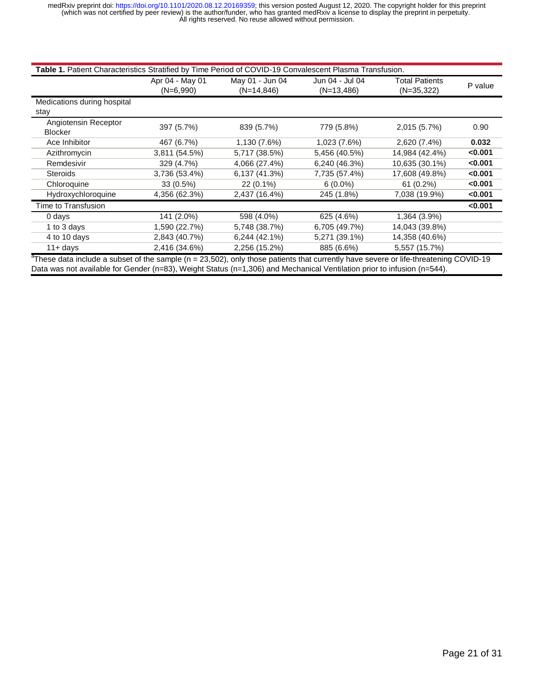| Table 1. Patient Characteristics Stratified by Time Period of COVID-19 Convalescent Plasma Transfusion.                                             |                                |                                 |                                 |                                        |         |  |  |
|-----------------------------------------------------------------------------------------------------------------------------------------------------|--------------------------------|---------------------------------|---------------------------------|----------------------------------------|---------|--|--|
|                                                                                                                                                     | Apr 04 - May 01<br>$(N=6,990)$ | May 01 - Jun 04<br>$(N=14,846)$ | Jun 04 - Jul 04<br>$(N=13,486)$ | <b>Total Patients</b><br>$(N=35, 322)$ | P value |  |  |
| Medications during hospital<br>stay                                                                                                                 |                                |                                 |                                 |                                        |         |  |  |
| Angiotensin Receptor<br><b>Blocker</b>                                                                                                              | 397 (5.7%)                     | 839 (5.7%)                      | 779 (5.8%)                      | 2,015 (5.7%)                           | 0.90    |  |  |
| Ace Inhibitor                                                                                                                                       | 467 (6.7%)                     | 1,130 (7.6%)                    | 1,023 (7.6%)                    | 2,620 (7.4%)                           | 0.032   |  |  |
| Azithromycin                                                                                                                                        | 3,811 (54.5%)                  | 5,717 (38.5%)                   | 5,456 (40.5%)                   | 14,984 (42.4%)                         | < 0.001 |  |  |
| Remdesivir                                                                                                                                          | 329 (4.7%)                     | 4,066 (27.4%)                   | 6,240 (46.3%)                   | 10,635 (30.1%)                         | < 0.001 |  |  |
| <b>Steroids</b>                                                                                                                                     | 3,736 (53.4%)                  | 6,137 (41.3%)                   | 7,735 (57.4%)                   | 17,608 (49.8%)                         | < 0.001 |  |  |
| Chloroquine                                                                                                                                         | 33 (0.5%)                      | $22(0.1\%)$                     | $6(0.0\%)$                      | $61(0.2\%)$                            | < 0.001 |  |  |
| Hydroxychloroquine                                                                                                                                  | 4,356 (62.3%)                  | 2,437 (16.4%)                   | 245 (1.8%)                      | 7,038 (19.9%)                          | < 0.001 |  |  |
| Time to Transfusion                                                                                                                                 |                                |                                 |                                 |                                        | < 0.001 |  |  |
| 0 days                                                                                                                                              | 141 (2.0%)                     | 598 (4.0%)                      | 625 (4.6%)                      | 1,364 (3.9%)                           |         |  |  |
| 1 to 3 days                                                                                                                                         | 1,590 (22.7%)                  | 5,748 (38.7%)                   | 6,705 (49.7%)                   | 14,043 (39.8%)                         |         |  |  |
| 4 to 10 days                                                                                                                                        | 2,843 (40.7%)                  | 6,244 (42.1%)                   | 5,271 (39.1%)                   | 14,358 (40.6%)                         |         |  |  |
| $11 + days$                                                                                                                                         | 2,416 (34.6%)                  | 2,256 (15.2%)                   | 885 (6.6%)                      | 5,557 (15.7%)                          |         |  |  |
| <sup>a</sup> These data include a subset of the sample (n = 23,502),<br>only those patients that currently have severe or life-threatening COVID-19 |                                |                                 |                                 |                                        |         |  |  |

Data was not available for Gender (n=83), Weight Status (n=1,306) and Mechanical Ventilation prior to infusion (n=544).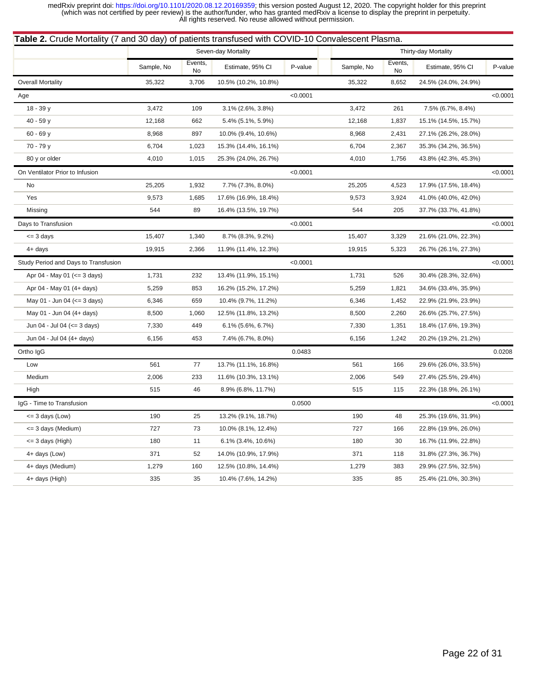|                                      |            |               | Seven-day Mortality  |          | Thirty-day Mortality |               |                      |          |  |
|--------------------------------------|------------|---------------|----------------------|----------|----------------------|---------------|----------------------|----------|--|
|                                      | Sample, No | Events,<br>No | Estimate, 95% CI     | P-value  | Sample, No           | Events,<br>No | Estimate, 95% CI     | P-value  |  |
| <b>Overall Mortality</b>             | 35,322     | 3,706         | 10.5% (10.2%, 10.8%) |          | 35,322               | 8,652         | 24.5% (24.0%, 24.9%) |          |  |
| Age                                  |            |               |                      | < 0.0001 |                      |               |                      | < 0.0001 |  |
| 18 - 39 y                            | 3,472      | 109           | 3.1% (2.6%, 3.8%)    |          | 3,472                | 261           | 7.5% (6.7%, 8.4%)    |          |  |
| $40 - 59y$                           | 12,168     | 662           | 5.4% (5.1%, 5.9%)    |          | 12,168               | 1,837         | 15.1% (14.5%, 15.7%) |          |  |
| $60 - 69y$                           | 8,968      | 897           | 10.0% (9.4%, 10.6%)  |          | 8,968                | 2,431         | 27.1% (26.2%, 28.0%) |          |  |
| 70 - 79 y                            | 6,704      | 1,023         | 15.3% (14.4%, 16.1%) |          | 6,704                | 2,367         | 35.3% (34.2%, 36.5%) |          |  |
| 80 y or older                        | 4,010      | 1,015         | 25.3% (24.0%, 26.7%) |          | 4,010                | 1,756         | 43.8% (42.3%, 45.3%) |          |  |
| On Ventilator Prior to Infusion      |            |               |                      | < 0.0001 |                      |               |                      | < 0.0001 |  |
| No                                   | 25,205     | 1,932         | 7.7% (7.3%, 8.0%)    |          | 25,205               | 4,523         | 17.9% (17.5%, 18.4%) |          |  |
| Yes                                  | 9,573      | 1,685         | 17.6% (16.9%, 18.4%) |          | 9,573                | 3,924         | 41.0% (40.0%, 42.0%) |          |  |
| Missing                              | 544        | 89            | 16.4% (13.5%, 19.7%) |          | 544                  | 205           | 37.7% (33.7%, 41.8%) |          |  |
| Days to Transfusion                  |            |               |                      | < 0.0001 |                      |               |                      | < 0.0001 |  |
| $=$ 3 days                           | 15,407     | 1,340         | 8.7% (8.3%, 9.2%)    |          | 15,407               | 3,329         | 21.6% (21.0%, 22.3%) |          |  |
| $4+$ days                            | 19,915     | 2,366         | 11.9% (11.4%, 12.3%) |          | 19,915               | 5,323         | 26.7% (26.1%, 27.3%) |          |  |
| Study Period and Days to Transfusion |            |               |                      | < 0.0001 |                      |               |                      | < 0.0001 |  |
| Apr 04 - May 01 (<= 3 days)          | 1,731      | 232           | 13.4% (11.9%, 15.1%) |          | 1,731                | 526           | 30.4% (28.3%, 32.6%) |          |  |
| Apr 04 - May 01 (4+ days)            | 5,259      | 853           | 16.2% (15.2%, 17.2%) |          | 5,259                | 1,821         | 34.6% (33.4%, 35.9%) |          |  |
| May 01 - Jun 04 (<= 3 days)          | 6,346      | 659           | 10.4% (9.7%, 11.2%)  |          | 6,346                | 1,452         | 22.9% (21.9%, 23.9%) |          |  |
| May 01 - Jun 04 (4+ days)            | 8,500      | 1,060         | 12.5% (11.8%, 13.2%) |          | 8,500                | 2,260         | 26.6% (25.7%, 27.5%) |          |  |
| Jun 04 - Jul 04 (<= 3 days)          | 7,330      | 449           | $6.1\%$ (5.6%, 6.7%) |          | 7,330                | 1,351         | 18.4% (17.6%, 19.3%) |          |  |
| Jun 04 - Jul 04 (4+ days)            | 6,156      | 453           | 7.4% (6.7%, 8.0%)    |          | 6,156                | 1,242         | 20.2% (19.2%, 21.2%) |          |  |
| Ortho IgG                            |            |               |                      | 0.0483   |                      |               |                      | 0.0208   |  |
| Low                                  | 561        | 77            | 13.7% (11.1%, 16.8%) |          | 561                  | 166           | 29.6% (26.0%, 33.5%) |          |  |
| Medium                               | 2,006      | 233           | 11.6% (10.3%, 13.1%) |          | 2,006                | 549           | 27.4% (25.5%, 29.4%) |          |  |
| High                                 | 515        | 46            | 8.9% (6.8%, 11.7%)   |          | 515                  | 115           | 22.3% (18.9%, 26.1%) |          |  |
| IgG - Time to Transfusion            |            |               |                      | 0.0500   |                      |               |                      | < 0.0001 |  |
| <= 3 days (Low)                      | 190        | 25            | 13.2% (9.1%, 18.7%)  |          | 190                  | 48            | 25.3% (19.6%, 31.9%) |          |  |
| <= 3 days (Medium)                   | 727        | 73            | 10.0% (8.1%, 12.4%)  |          | 727                  | 166           | 22.8% (19.9%, 26.0%) |          |  |
| <= 3 days (High)                     | 180        | 11            | 6.1% (3.4%, 10.6%)   |          | 180                  | 30            | 16.7% (11.9%, 22.8%) |          |  |
| 4+ days (Low)                        | 371        | 52            | 14.0% (10.9%, 17.9%) |          | 371                  | 118           | 31.8% (27.3%, 36.7%) |          |  |
| 4+ days (Medium)                     | 1,279      | 160           | 12.5% (10.8%, 14.4%) |          | 1,279                | 383           | 29.9% (27.5%, 32.5%) |          |  |
| 4+ days (High)                       | 335        | 35            | 10.4% (7.6%, 14.2%)  |          | 335                  | 85            | 25.4% (21.0%, 30.3%) |          |  |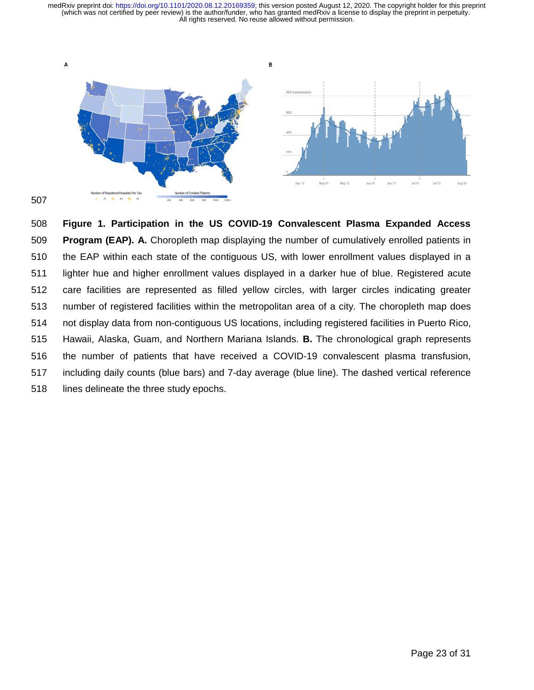

508 **Figure 1. Participation in the US COVID-19 Convalescent Plasma Expanded Access**  509 **Program (EAP). A.** Choropleth map displaying the number of cumulatively enrolled patients in 510 the EAP within each state of the contiguous US, with lower enrollment values displayed in a 511 lighter hue and higher enrollment values displayed in a darker hue of blue. Registered acute 512 care facilities are represented as filled yellow circles, with larger circles indicating greater 513 number of registered facilities within the metropolitan area of a city. The choropleth map does 514 not display data from non-contiguous US locations, including registered facilities in Puerto Rico, 515 Hawaii, Alaska, Guam, and Northern Mariana Islands. **B.** The chronological graph represents 516 the number of patients that have received a COVID-19 convalescent plasma transfusion, 517 including daily counts (blue bars) and 7-day average (blue line). The dashed vertical reference 518 lines delineate the three study epochs.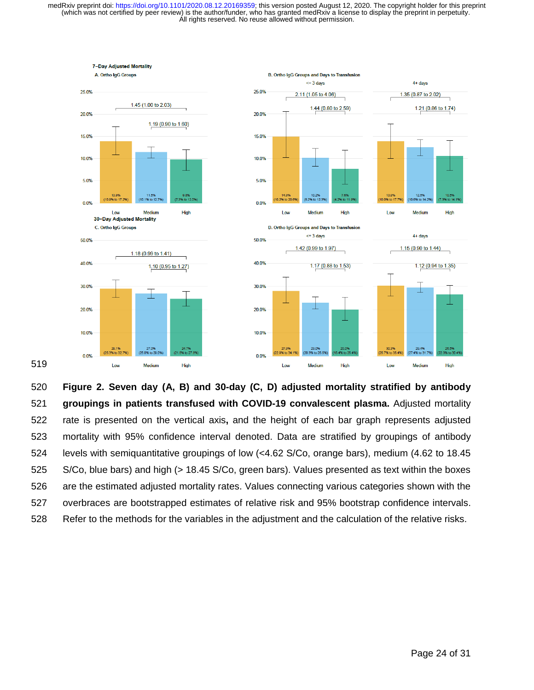

519

520 **Figure 2. Seven day (A, B) and 30-day (C, D) adjusted mortality stratified by antibody**  521 **groupings in patients transfused with COVID-19 convalescent plasma.** Adjusted mortality 522 rate is presented on the vertical axis**,** and the height of each bar graph represents adjusted 523 mortality with 95% confidence interval denoted. Data are stratified by groupings of antibody 524 levels with semiquantitative groupings of low (<4.62 S/Co, orange bars), medium (4.62 to 18.45 525 S/Co, blue bars) and high (> 18.45 S/Co, green bars). Values presented as text within the boxes 526 are the estimated adjusted mortality rates. Values connecting various categories shown with the 527 overbraces are bootstrapped estimates of relative risk and 95% bootstrap confidence intervals. 528 Refer to the methods for the variables in the adjustment and the calculation of the relative risks.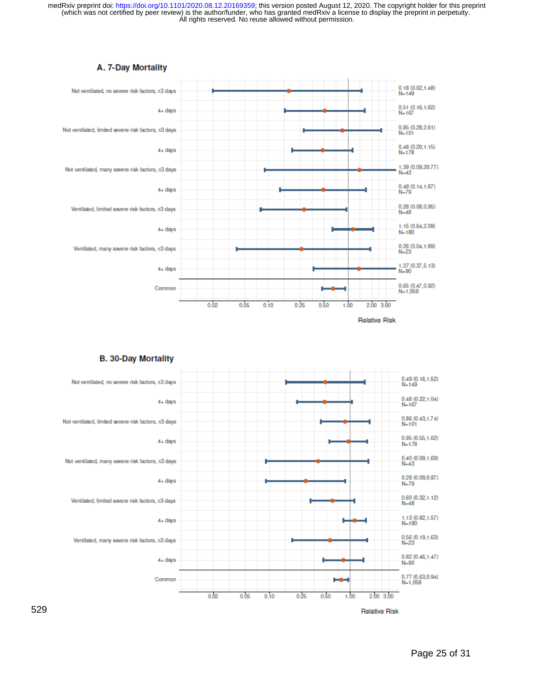



#### **B. 30-Day Mortality**

529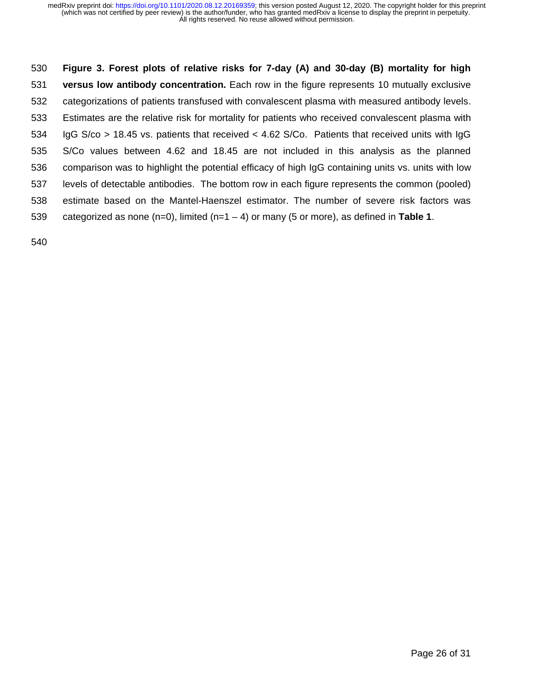# 530 **Figure 3. Forest plots of relative risks for 7-day (A) and 30-day (B) mortality for high**

531 **versus low antibody concentration.** Each row in the figure represents 10 mutually exclusive 532 categorizations of patients transfused with convalescent plasma with measured antibody levels. 533 Estimates are the relative risk for mortality for patients who received convalescent plasma with 534 IgG S/co > 18.45 vs. patients that received < 4.62 S/Co. Patients that received units with IgG 535 S/Co values between 4.62 and 18.45 are not included in this analysis as the planned 536 comparison was to highlight the potential efficacy of high IgG containing units vs. units with low 537 levels of detectable antibodies. The bottom row in each figure represents the common (pooled) 538 estimate based on the Mantel-Haenszel estimator. The number of severe risk factors was 539 categorized as none (n=0), limited (n=1 – 4) or many (5 or more), as defined in **Table 1**.

540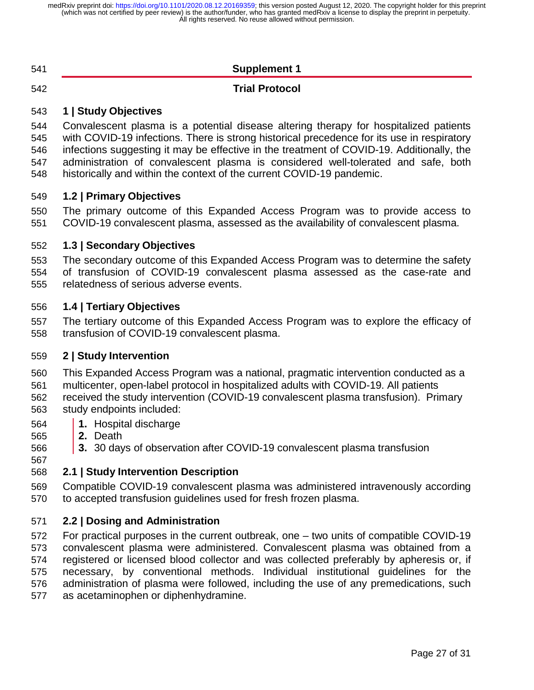| 541 | Sunnl<br>المتمميما<br><b>PAPPIVIIIVIII</b> |
|-----|--------------------------------------------|
|     |                                            |

# 542 **Trial Protocol**

# 543 **1 | Study Objectives**

544 Convalescent plasma is a potential disease altering therapy for hospitalized patients 545 with COVID-19 infections. There is strong historical precedence for its use in respiratory 546 infections suggesting it may be effective in the treatment of COVID-19. Additionally, the 547 administration of convalescent plasma is considered well-tolerated and safe, both 548 historically and within the context of the current COVID-19 pandemic.

# 549 **1.2 | Primary Objectives**

550 The primary outcome of this Expanded Access Program was to provide access to 551 COVID-19 convalescent plasma, assessed as the availability of convalescent plasma.

# 552 **1.3 | Secondary Objectives**

553 The secondary outcome of this Expanded Access Program was to determine the safety 554 of transfusion of COVID-19 convalescent plasma assessed as the case-rate and 555 relatedness of serious adverse events.

# 556 **1.4 | Tertiary Objectives**

557 The tertiary outcome of this Expanded Access Program was to explore the efficacy of 558 transfusion of COVID-19 convalescent plasma.

# 559 **2 | Study Intervention**

- 560 This Expanded Access Program was a national, pragmatic intervention conducted as a 561 multicenter, open-label protocol in hospitalized adults with COVID-19. All patients 562 received the study intervention (COVID-19 convalescent plasma transfusion). Primary
- 563 study endpoints included:
- 564 **1.** Hospital discharge
- 565 **2.** Death
- 566 **3.** 30 days of observation after COVID-19 convalescent plasma transfusion

#### 567 568 **2.1 | Study Intervention Description**

569 Compatible COVID-19 convalescent plasma was administered intravenously according 570 to accepted transfusion guidelines used for fresh frozen plasma.

# 571 **2.2 | Dosing and Administration**

572 For practical purposes in the current outbreak, one – two units of compatible COVID-19 573 convalescent plasma were administered. Convalescent plasma was obtained from a 574 registered or licensed blood collector and was collected preferably by apheresis or, if 575 necessary, by conventional methods. Individual institutional guidelines for the 576 administration of plasma were followed, including the use of any premedications, such 577 as acetaminophen or diphenhydramine.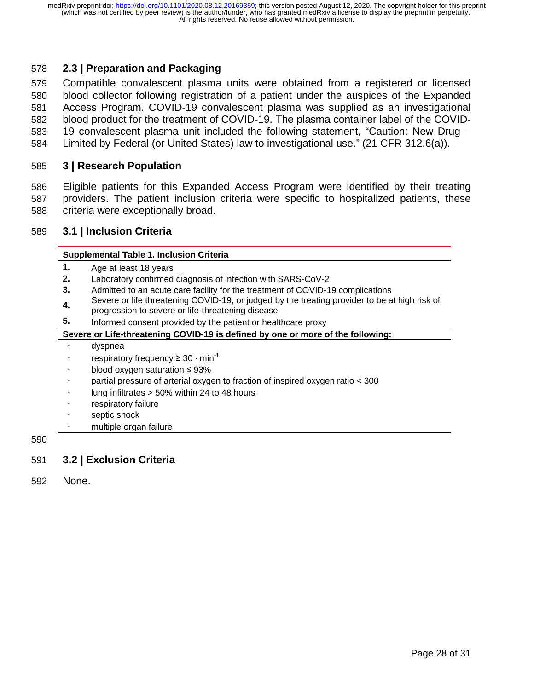# 578 **2.3 | Preparation and Packaging**

579 Compatible convalescent plasma units were obtained from a registered or licensed 580 blood collector following registration of a patient under the auspices of the Expanded 581 Access Program. COVID-19 convalescent plasma was supplied as an investigational 582 blood product for the treatment of COVID-19. The plasma container label of the COVID-583 19 convalescent plasma unit included the following statement, "Caution: New Drug – 584 Limited by Federal (or United States) law to investigational use." (21 CFR 312.6(a)).

# 585 **3 | Research Population**

586 Eligible patients for this Expanded Access Program were identified by their treating 587 providers. The patient inclusion criteria were specific to hospitalized patients, these 588 criteria were exceptionally broad.

# 589 **3.1 | Inclusion Criteria**

#### **Supplemental Table 1. Inclusion Criteria**

- **1.** Age at least 18 years
- **2.** Laboratory confirmed diagnosis of infection with SARS-CoV-2
- **3.** Admitted to an acute care facility for the treatment of COVID-19 complications
- **4.** Severe or life threatening COVID-19, or judged by the treating provider to be at high risk of progression to severe or life-threatening disease
- 
- **5.** Informed consent provided by the patient or healthcare proxy

#### **Severe or Life-threatening COVID-19 is defined by one or more of the following:**

- · dyspnea
- $\cdot$  respiratory frequency  $\geq 30 \cdot \text{min}^{-1}$
- · blood oxygen saturation ≤ 93%
- · partial pressure of arterial oxygen to fraction of inspired oxygen ratio < 300
- lung infiltrates  $> 50\%$  within 24 to 48 hours
- respiratory failure
- septic shock
- multiple organ failure

590

# 591 **3.2 | Exclusion Criteria**

592 None.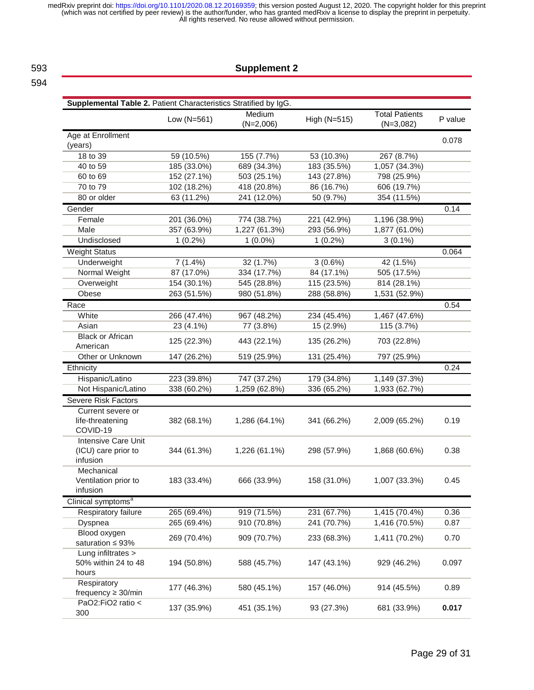594

# 593 **Supplement 2**

| Supplemental Table 2. Patient Characteristics Stratified by IgG. |             |                       |              |                                      |         |
|------------------------------------------------------------------|-------------|-----------------------|--------------|--------------------------------------|---------|
|                                                                  | Low (N=561) | Medium<br>$(N=2,006)$ | High (N=515) | <b>Total Patients</b><br>$(N=3,082)$ | P value |
| Age at Enrollment                                                |             |                       |              |                                      | 0.078   |
| (years)                                                          |             |                       |              |                                      |         |
| 18 to 39                                                         | 59 (10.5%)  | 155 (7.7%)            | 53 (10.3%)   | 267 (8.7%)                           |         |
| 40 to 59                                                         | 185 (33.0%) | 689 (34.3%)           | 183 (35.5%)  | 1,057 (34.3%)                        |         |
| 60 to 69                                                         | 152 (27.1%) | 503 (25.1%)           | 143 (27.8%)  | 798 (25.9%)                          |         |
| 70 to 79                                                         | 102 (18.2%) | 418 (20.8%)           | 86 (16.7%)   | 606 (19.7%)                          |         |
| 80 or older                                                      | 63 (11.2%)  | 241 (12.0%)           | 50 (9.7%)    | 354 (11.5%)                          |         |
| Gender                                                           |             |                       |              |                                      | 0.14    |
| Female                                                           | 201 (36.0%) | 774 (38.7%)           | 221 (42.9%)  | 1,196 (38.9%)                        |         |
| Male                                                             | 357 (63.9%) | 1,227 (61.3%)         | 293 (56.9%)  | 1,877 (61.0%)                        |         |
| Undisclosed                                                      | $1(0.2\%)$  | $1(0.0\%)$            | $1(0.2\%)$   | $3(0.1\%)$                           |         |
| <b>Weight Status</b>                                             |             |                       |              |                                      | 0.064   |
| Underweight                                                      | $7(1.4\%)$  | 32 (1.7%)             | $3(0.6\%)$   | 42 (1.5%)                            |         |
| Normal Weight                                                    | 87 (17.0%)  | 334 (17.7%)           | 84 (17.1%)   | 505 (17.5%)                          |         |
| Overweight                                                       | 154 (30.1%) | 545 (28.8%)           | 115 (23.5%)  | 814 (28.1%)                          |         |
| Obese                                                            | 263 (51.5%) | 980 (51.8%)           | 288 (58.8%)  | 1,531 (52.9%)                        |         |
| Race                                                             |             |                       |              |                                      | 0.54    |
| White                                                            | 266 (47.4%) | 967 (48.2%)           | 234 (45.4%)  | 1,467 (47.6%)                        |         |
| Asian                                                            | 23 (4.1%)   | 77 (3.8%)             | 15 (2.9%)    | 115 (3.7%)                           |         |
| <b>Black or African</b>                                          |             |                       |              |                                      |         |
| American                                                         | 125 (22.3%) | 443 (22.1%)           | 135 (26.2%)  | 703 (22.8%)                          |         |
| Other or Unknown                                                 | 147 (26.2%) | 519 (25.9%)           | 131 (25.4%)  | 797 (25.9%)                          |         |
| Ethnicity                                                        |             |                       |              |                                      | 0.24    |
| Hispanic/Latino                                                  | 223 (39.8%) | 747 (37.2%)           | 179 (34.8%)  | 1,149 (37.3%)                        |         |
| Not Hispanic/Latino                                              | 338 (60.2%) | 1,259 (62.8%)         | 336 (65.2%)  | 1,933 (62.7%)                        |         |
| Severe Risk Factors                                              |             |                       |              |                                      |         |
| Current severe or                                                |             |                       |              |                                      |         |
| life-threatening                                                 | 382 (68.1%) | 1,286 (64.1%)         | 341 (66.2%)  | 2,009 (65.2%)                        | 0.19    |
| COVID-19                                                         |             |                       |              |                                      |         |
| Intensive Care Unit                                              |             |                       |              |                                      |         |
| (ICU) care prior to                                              | 344 (61.3%) | 1,226 (61.1%)         | 298 (57.9%)  | 1,868 (60.6%)                        | 0.38    |
| infusion                                                         |             |                       |              |                                      |         |
| Mechanical                                                       |             |                       |              |                                      |         |
| Ventilation prior to                                             | 183 (33.4%) | 666 (33.9%)           | 158 (31.0%)  | 1,007 (33.3%)                        | 0.45    |
| infusion                                                         |             |                       |              |                                      |         |
| Clinical symptoms <sup>a</sup>                                   |             |                       |              |                                      |         |
| <b>Respiratory failure</b>                                       | 265 (69.4%) | 919 (71.5%)           | 231 (67.7%)  | 1,415 (70.4%)                        | 0.36    |
| Dyspnea                                                          | 265 (69.4%) | 910 (70.8%)           | 241 (70.7%)  | 1,416 (70.5%)                        | 0.87    |
| Blood oxygen<br>saturation $\leq 93\%$                           | 269 (70.4%) | 909 (70.7%)           | 233 (68.3%)  | 1,411 (70.2%)                        | 0.70    |
| Lung infiltrates ><br>50% within 24 to 48<br>hours               | 194 (50.8%) | 588 (45.7%)           | 147 (43.1%)  | 929 (46.2%)                          | 0.097   |
| Respiratory<br>frequency $\geq 30$ /min                          | 177 (46.3%) | 580 (45.1%)           | 157 (46.0%)  | 914 (45.5%)                          | 0.89    |
| PaO2:FiO2 ratio <<br>300                                         | 137 (35.9%) | 451 (35.1%)           | 93 (27.3%)   | 681 (33.9%)                          | 0.017   |
|                                                                  |             |                       |              |                                      |         |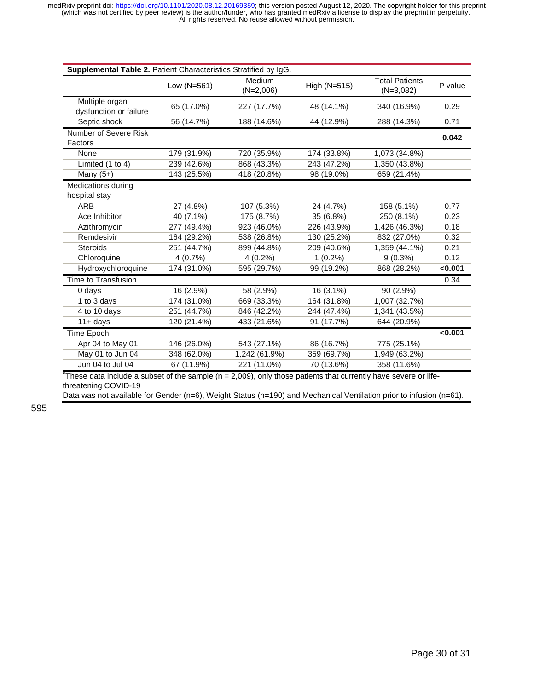| Supplemental Table 2. Patient Characteristics Stratified by IgG.                                                       |                        |                       |              |                                      |         |  |  |
|------------------------------------------------------------------------------------------------------------------------|------------------------|-----------------------|--------------|--------------------------------------|---------|--|--|
|                                                                                                                        | Low (N=561)            | Medium<br>$(N=2,006)$ | High (N=515) | <b>Total Patients</b><br>$(N=3,082)$ | P value |  |  |
| Multiple organ<br>dysfunction or failure                                                                               | 65 (17.0%)             | 227 (17.7%)           | 48 (14.1%)   | 340 (16.9%)                          | 0.29    |  |  |
| Septic shock                                                                                                           | 56 (14.7%)             | 188 (14.6%)           | 44 (12.9%)   | 288 (14.3%)                          | 0.71    |  |  |
| Number of Severe Risk<br>Factors                                                                                       |                        |                       |              |                                      | 0.042   |  |  |
| None                                                                                                                   | 179 (31.9%)            | 720 (35.9%)           | 174 (33.8%)  | 1,073 (34.8%)                        |         |  |  |
| Limited (1 to 4)                                                                                                       | 239 (42.6%)            | 868 (43.3%)           | 243 (47.2%)  | 1,350 (43.8%)                        |         |  |  |
| Many $(5+)$                                                                                                            | 143 (25.5%)            | 418 (20.8%)           | 98 (19.0%)   | 659 (21.4%)                          |         |  |  |
| Medications during<br>hospital stay                                                                                    |                        |                       |              |                                      |         |  |  |
| <b>ARB</b>                                                                                                             | 27 (4.8%)              | 107 (5.3%)            | 24 (4.7%)    | 158 (5.1%)                           | 0.77    |  |  |
| Ace Inhibitor                                                                                                          | $\overline{40}$ (7.1%) | 175 (8.7%)            | 35 (6.8%)    | 250 (8.1%)                           | 0.23    |  |  |
| Azithromycin                                                                                                           | 277 (49.4%)            | 923 (46.0%)           | 226 (43.9%)  | 1,426 (46.3%)                        | 0.18    |  |  |
| Remdesivir                                                                                                             | 164 (29.2%)            | 538 (26.8%)           | 130 (25.2%)  | 832 (27.0%)                          | 0.32    |  |  |
| <b>Steroids</b>                                                                                                        | 251 (44.7%)            | 899 (44.8%)           | 209 (40.6%)  | 1,359 (44.1%)                        | 0.21    |  |  |
| Chloroquine                                                                                                            | 4(0.7%)                | $4(0.2\%)$            | $1(0.2\%)$   | $9(0.3\%)$                           | 0.12    |  |  |
| Hydroxychloroquine                                                                                                     | 174 (31.0%)            | 595 (29.7%)           | 99 (19.2%)   | 868 (28.2%)                          | < 0.001 |  |  |
| Time to Transfusion                                                                                                    |                        |                       |              |                                      | 0.34    |  |  |
| 0 days                                                                                                                 | 16 (2.9%)              | 58 (2.9%)             | 16 (3.1%)    | 90 (2.9%)                            |         |  |  |
| 1 to 3 days                                                                                                            | 174 (31.0%)            | 669 (33.3%)           | 164 (31.8%)  | 1,007 (32.7%)                        |         |  |  |
| 4 to 10 days                                                                                                           | 251 (44.7%)            | 846 (42.2%)           | 244 (47.4%)  | 1,341 (43.5%)                        |         |  |  |
| $11 + days$                                                                                                            | 120 (21.4%)            | 433 (21.6%)           | 91 (17.7%)   | 644 (20.9%)                          |         |  |  |
| Time Epoch                                                                                                             |                        |                       |              |                                      | < 0.001 |  |  |
| Apr 04 to May 01                                                                                                       | 146 (26.0%)            | 543 (27.1%)           | 86 (16.7%)   | $\overline{775}$ (25.1%)             |         |  |  |
| May 01 to Jun 04                                                                                                       | 348 (62.0%)            | 1,242 (61.9%)         | 359 (69.7%)  | 1,949 (63.2%)                        |         |  |  |
| Jun 04 to Jul 04                                                                                                       | 67 (11.9%)             | 221 (11.0%)           | 70 (13.6%)   | 358 (11.6%)                          |         |  |  |
| $a$ These data include a subset of the sample ( $n = 2,009$ ), only those patients that currently have severe or life- |                        |                       |              |                                      |         |  |  |

threatening COVID-19

Data was not available for Gender (n=6), Weight Status (n=190) and Mechanical Ventilation prior to infusion (n=61).

595